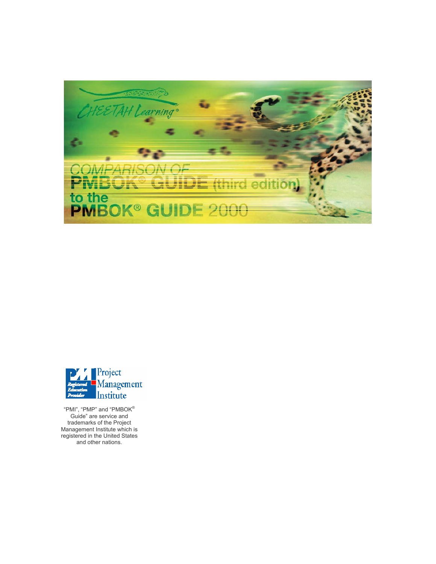



"PMI", "PMP" and "PMBOK® Guide" are service and trademarks of the Project Management Institute which is registered in the United States and other nations.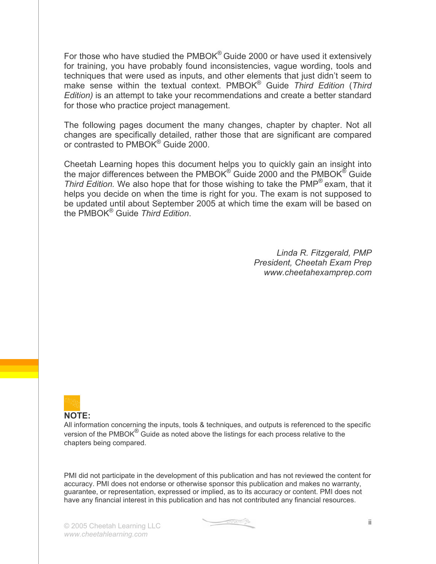For those who have studied the PMBOK<sup>®</sup> Guide 2000 or have used it extensively for training, you have probably found inconsistencies, vague wording, tools and techniques that were used as inputs, and other elements that just didn't seem to make sense within the textual context. PMBOK® Guide *Third Edition* (*Third Edition)* is an attempt to take your recommendations and create a better standard for those who practice project management.

The following pages document the many changes, chapter by chapter. Not all changes are specifically detailed, rather those that are significant are compared or contrasted to PMBOK<sup>®</sup> Guide 2000.

Cheetah Learning hopes this document helps you to quickly gain an insight into the major differences between the PMBOK<sup>®</sup> Guide 2000 and the PMBOK<sup>®</sup> Guide *Third Edition.* We also hope that for those wishing to take the PMP® exam, that it helps you decide on when the time is right for you. The exam is not supposed to be updated until about September 2005 at which time the exam will be based on the PMBOK® Guide *Third Edition*.

> *Linda R. Fitzgerald, PMP President, Cheetah Exam Prep www.cheetahexamprep.com*



#### **NOTE:**

All information concerning the inputs, tools & techniques, and outputs is referenced to the specific version of the PMBOK $^{\circledR}$  Guide as noted above the listings for each process relative to the chapters being compared.

PMI did not participate in the development of this publication and has not reviewed the content for accuracy. PMI does not endorse or otherwise sponsor this publication and makes no warranty, guarantee, or representation, expressed or implied, as to its accuracy or content. PMI does not have any financial interest in this publication and has not contributed any financial resources.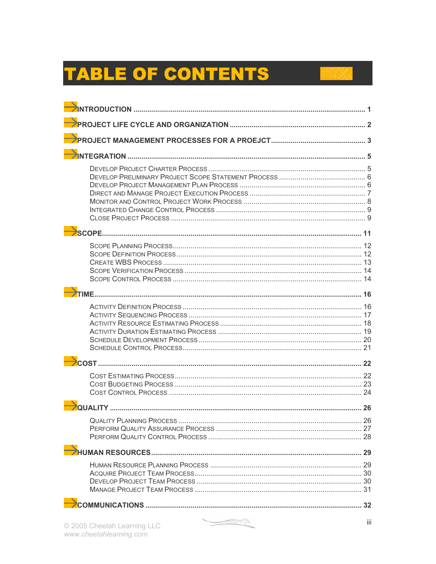# **TABLE OF CONTENTS**

| @ 2005 Chootah Loarning LLC | iii |
|-----------------------------|-----|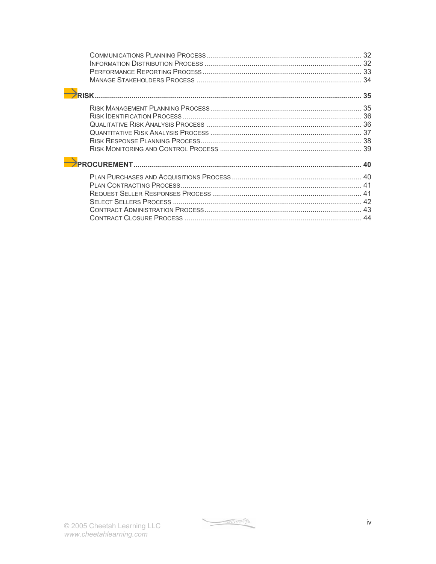$\begin{picture}(20,10) \put(0,0){\line(1,0){10}} \put(15,0){\line(1,0){10}} \put(15,0){\line(1,0){10}} \put(15,0){\line(1,0){10}} \put(15,0){\line(1,0){10}} \put(15,0){\line(1,0){10}} \put(15,0){\line(1,0){10}} \put(15,0){\line(1,0){10}} \put(15,0){\line(1,0){10}} \put(15,0){\line(1,0){10}} \put(15,0){\line(1,0){10}} \put(15,0){\line(1$ 

iv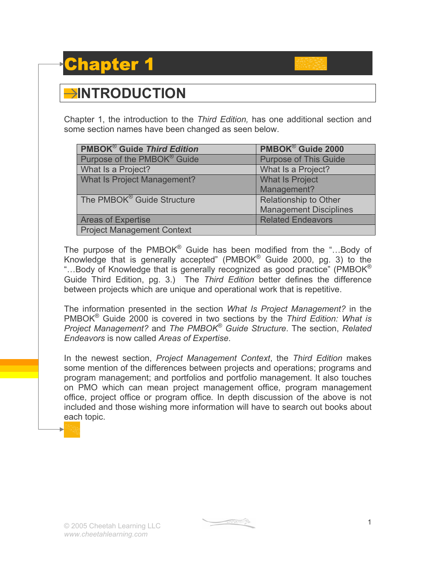## apter 1

#### **INTRODUCTION**

Chapter 1, the introduction to the *Third Edition,* has one additional section and some section names have been changed as seen below.

| <b>PMBOK<sup>®</sup> Guide Third Edition</b> | PMBOK <sup>®</sup> Guide 2000 |
|----------------------------------------------|-------------------------------|
| Purpose of the PMBOK <sup>®</sup> Guide      | <b>Purpose of This Guide</b>  |
| What Is a Project?                           | What Is a Project?            |
| <b>What Is Project Management?</b>           | <b>What Is Project</b>        |
|                                              | Management?                   |
| The PMBOK <sup>®</sup> Guide Structure       | Relationship to Other         |
|                                              | <b>Management Disciplines</b> |
| <b>Areas of Expertise</b>                    | <b>Related Endeavors</b>      |
| <b>Project Management Context</b>            |                               |

The purpose of the PMBOK® Guide has been modified from the "...Body of Knowledge that is generally accepted" (PMBOK® Guide 2000, pg. 3) to the "...Body of Knowledge that is generally recognized as good practice" (PMBOK $^{\circ}$ ) Guide Third Edition, pg. 3.) The *Third Edition* better defines the difference between projects which are unique and operational work that is repetitive.

The information presented in the section *What Is Project Management?* in the PMBOK® Guide 2000 is covered in two sections by the *Third Edition: What is Project Management?* and *The PMBOK*® *Guide Structure*. The section, *Related Endeavors* is now called *Areas of Expertise*.

In the newest section, *Project Management Context*, the *Third Edition* makes some mention of the differences between projects and operations; programs and program management; and portfolios and portfolio management. It also touches on PMO which can mean project management office, program management office, project office or program office*.* In depth discussion of the above is not included and those wishing more information will have to search out books about each topic.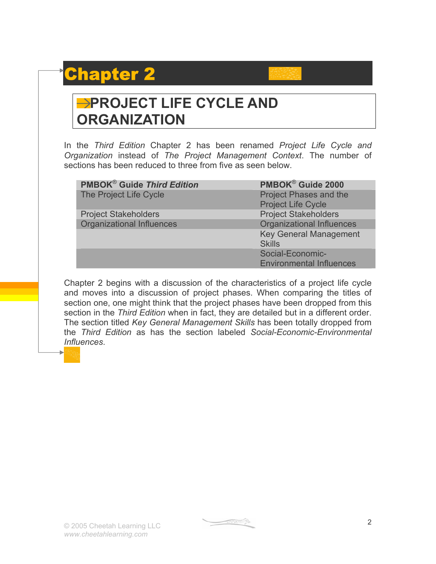## Chapter 2



### **PROJECT LIFE CYCLE AND ORGANIZATION**

In the *Third Edition* Chapter 2 has been renamed *Project Life Cycle and Organization* instead of *The Project Management Context*. The number of sections has been reduced to three from five as seen below.

| <b>PMBOK<sup>®</sup> Guide Third Edition</b> | PMBOK® Guide 2000                |
|----------------------------------------------|----------------------------------|
| The Project Life Cycle                       | <b>Project Phases and the</b>    |
|                                              | <b>Project Life Cycle</b>        |
| <b>Project Stakeholders</b>                  | <b>Project Stakeholders</b>      |
| <b>Organizational Influences</b>             | <b>Organizational Influences</b> |
|                                              | <b>Key General Management</b>    |
|                                              | <b>Skills</b>                    |
|                                              | Social-Economic-                 |
|                                              | <b>Environmental Influences</b>  |

Chapter 2 begins with a discussion of the characteristics of a project life cycle and moves into a discussion of project phases. When comparing the titles of section one, one might think that the project phases have been dropped from this section in the *Third Edition* when in fact, they are detailed but in a different order. The section titled *Key General Management Skills* has been totally dropped from the *Third Edition* as has the section labeled *Social-Economic-Environmental Influences*.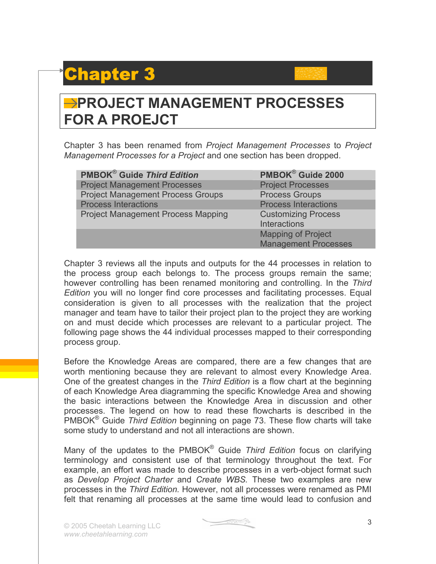### Chapter 3

### **PROJECT MANAGEMENT PROCESSES FOR A PROEJCT**

Chapter 3 has been renamed from *Project Management Processes* to *Project Management Processes for a Project* and one section has been dropped.

| <b>PMBOK<sup>®</sup> Guide Third Edition</b> | PMBOK® Guide 2000           |
|----------------------------------------------|-----------------------------|
| <b>Project Management Processes</b>          | <b>Project Processes</b>    |
| <b>Project Management Process Groups</b>     | <b>Process Groups</b>       |
| <b>Process Interactions</b>                  | <b>Process Interactions</b> |
| <b>Project Management Process Mapping</b>    | <b>Customizing Process</b>  |
|                                              | <b>Interactions</b>         |
|                                              | <b>Mapping of Project</b>   |
|                                              | <b>Management Processes</b> |

Chapter 3 reviews all the inputs and outputs for the 44 processes in relation to the process group each belongs to. The process groups remain the same; however controlling has been renamed monitoring and controlling. In the *Third Edition* you will no longer find core processes and facilitating processes. Equal consideration is given to all processes with the realization that the project manager and team have to tailor their project plan to the project they are working on and must decide which processes are relevant to a particular project. The following page shows the 44 individual processes mapped to their corresponding process group.

Before the Knowledge Areas are compared, there are a few changes that are worth mentioning because they are relevant to almost every Knowledge Area. One of the greatest changes in the *Third Edition* is a flow chart at the beginning of each Knowledge Area diagramming the specific Knowledge Area and showing the basic interactions between the Knowledge Area in discussion and other processes. The legend on how to read these flowcharts is described in the PMBOK® Guide *Third Edition* beginning on page 73. These flow charts will take some study to understand and not all interactions are shown.

Many of the updates to the PMBOK® Guide *Third Edition* focus on clarifying terminology and consistent use of that terminology throughout the text. For example, an effort was made to describe processes in a verb-object format such as *Develop Project Charter* and *Create WBS.* These two examples are new processes in the *Third Edition.* However, not all processes were renamed as PMI felt that renaming all processes at the same time would lead to confusion and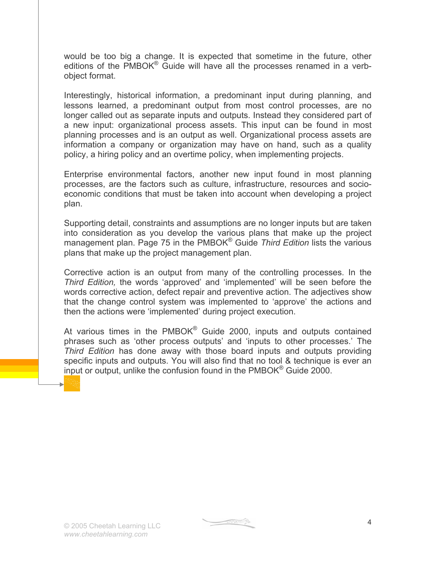would be too big a change. It is expected that sometime in the future, other editions of the PMBOK<sup>®</sup> Guide will have all the processes renamed in a verbobject format.

Interestingly, historical information, a predominant input during planning, and lessons learned, a predominant output from most control processes, are no longer called out as separate inputs and outputs. Instead they considered part of a new input: organizational process assets. This input can be found in most planning processes and is an output as well. Organizational process assets are information a company or organization may have on hand, such as a quality policy, a hiring policy and an overtime policy, when implementing projects.

Enterprise environmental factors, another new input found in most planning processes, are the factors such as culture, infrastructure, resources and socioeconomic conditions that must be taken into account when developing a project plan.

Supporting detail, constraints and assumptions are no longer inputs but are taken into consideration as you develop the various plans that make up the project management plan. Page 75 in the PMBOK® Guide *Third Edition* lists the various plans that make up the project management plan.

Corrective action is an output from many of the controlling processes. In the *Third Edition,* the words 'approved' and 'implemented' will be seen before the words corrective action, defect repair and preventive action. The adjectives show that the change control system was implemented to 'approve' the actions and then the actions were 'implemented' during project execution.

At various times in the  $PMBOK^{\circledast}$  Guide 2000, inputs and outputs contained phrases such as 'other process outputs' and 'inputs to other processes.' The *Third Edition* has done away with those board inputs and outputs providing specific inputs and outputs. You will also find that no tool & technique is ever an input or output, unlike the confusion found in the PMBOK® Guide 2000.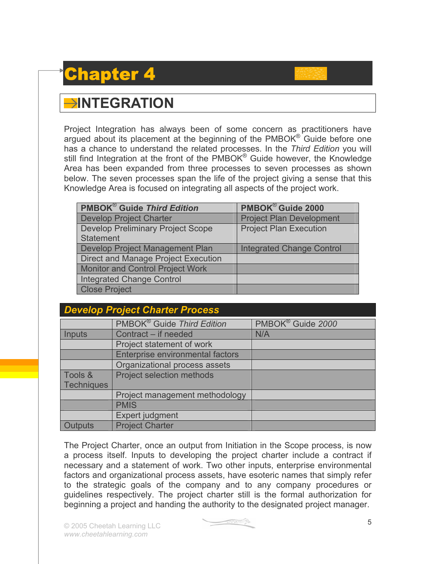### Chapter 4

### **INTEGRATION**

Project Integration has always been of some concern as practitioners have argued about its placement at the beginning of the PMBOK® Guide before one has a chance to understand the related processes. In the *Third Edition* you will still find Integration at the front of the PMBOK<sup>®</sup> Guide however, the Knowledge Area has been expanded from three processes to seven processes as shown below. The seven processes span the life of the project giving a sense that this Knowledge Area is focused on integrating all aspects of the project work.

| <b>PMBOK<sup>®</sup> Guide Third Edition</b> | PMBOK <sup>®</sup> Guide 2000    |
|----------------------------------------------|----------------------------------|
| <b>Develop Project Charter</b>               | <b>Project Plan Development</b>  |
| <b>Develop Preliminary Project Scope</b>     | <b>Project Plan Execution</b>    |
| Statement                                    |                                  |
| Develop Project Management Plan              | <b>Integrated Change Control</b> |
| Direct and Manage Project Execution          |                                  |
| <b>Monitor and Control Project Work</b>      |                                  |
| Integrated Change Control                    |                                  |
| <b>Close Project</b>                         |                                  |

| <b>Develop Project Charter Process</b> |                                         |                               |
|----------------------------------------|-----------------------------------------|-------------------------------|
|                                        | PMBOK <sup>®</sup> Guide Third Edition  | PMBOK <sup>®</sup> Guide 2000 |
| Inputs                                 | Contract – if needed                    | N/A                           |
|                                        | Project statement of work               |                               |
|                                        | <b>Enterprise environmental factors</b> |                               |
|                                        | Organizational process assets           |                               |
| Tools &                                | <b>Project selection methods</b>        |                               |
| <b>Techniques</b>                      |                                         |                               |
|                                        | Project management methodology          |                               |
|                                        | <b>PMIS</b>                             |                               |
|                                        | Expert judgment                         |                               |
| utputs                                 | <b>Project Charter</b>                  |                               |

The Project Charter, once an output from Initiation in the Scope process, is now a process itself. Inputs to developing the project charter include a contract if necessary and a statement of work. Two other inputs, enterprise environmental factors and organizational process assets, have esoteric names that simply refer to the strategic goals of the company and to any company procedures or guidelines respectively. The project charter still is the formal authorization for beginning a project and handing the authority to the designated project manager.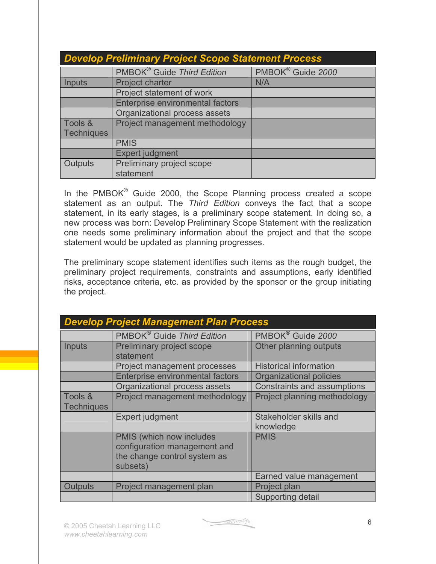| <b>Develop Preliminary Project Scope Statement Process</b> |                                         |                               |
|------------------------------------------------------------|-----------------------------------------|-------------------------------|
|                                                            | PMBOK <sup>®</sup> Guide Third Edition  | PMBOK <sup>®</sup> Guide 2000 |
| Inputs                                                     | Project charter                         | N/A                           |
|                                                            | Project statement of work               |                               |
|                                                            | <b>Enterprise environmental factors</b> |                               |
|                                                            | Organizational process assets           |                               |
| Tools &                                                    | Project management methodology          |                               |
| <b>Techniques</b>                                          |                                         |                               |
|                                                            | <b>PMIS</b>                             |                               |
|                                                            | <b>Expert judgment</b>                  |                               |
| Outputs                                                    | Preliminary project scope               |                               |
|                                                            | statement                               |                               |

In the PMBOK<sup>®</sup> Guide 2000, the Scope Planning process created a scope statement as an output. The *Third Edition* conveys the fact that a scope statement, in its early stages, is a preliminary scope statement. In doing so, a new process was born: Develop Preliminary Scope Statement with the realization one needs some preliminary information about the project and that the scope statement would be updated as planning progresses.

The preliminary scope statement identifies such items as the rough budget, the preliminary project requirements, constraints and assumptions, early identified risks, acceptance criteria, etc. as provided by the sponsor or the group initiating the project.

| <b>Develop Project Management Plan Process</b> |                                                                                                      |                                     |
|------------------------------------------------|------------------------------------------------------------------------------------------------------|-------------------------------------|
|                                                | PMBOK <sup>®</sup> Guide Third Edition                                                               | PMBOK <sup>®</sup> Guide 2000       |
| <b>Inputs</b>                                  | Preliminary project scope<br>statement                                                               | Other planning outputs              |
|                                                | Project management processes                                                                         | <b>Historical information</b>       |
|                                                | Enterprise environmental factors                                                                     | <b>Organizational policies</b>      |
|                                                | Organizational process assets                                                                        | <b>Constraints and assumptions</b>  |
| Tools &<br><b>Techniques</b>                   | Project management methodology                                                                       | Project planning methodology        |
|                                                | Expert judgment                                                                                      | Stakeholder skills and<br>knowledge |
|                                                | PMIS (which now includes<br>configuration management and<br>the change control system as<br>subsets) | <b>PMIS</b>                         |
|                                                |                                                                                                      | Earned value management             |
| <b>Outputs</b>                                 | Project management plan                                                                              | Project plan                        |
|                                                |                                                                                                      | <b>Supporting detail</b>            |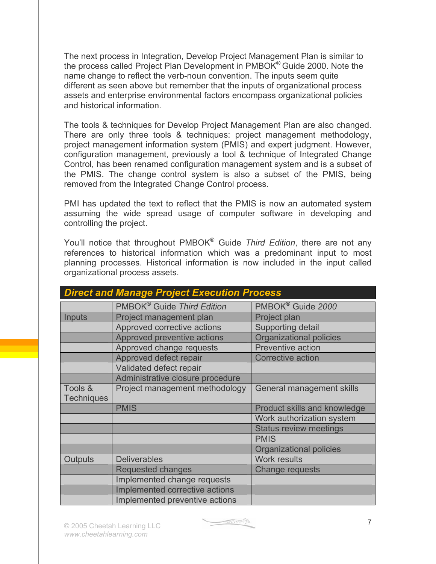The next process in Integration, Develop Project Management Plan is similar to the process called Project Plan Development in PMBOK® Guide 2000. Note the name change to reflect the verb-noun convention. The inputs seem quite different as seen above but remember that the inputs of organizational process assets and enterprise environmental factors encompass organizational policies and historical information.

The tools & techniques for Develop Project Management Plan are also changed. There are only three tools & techniques: project management methodology, project management information system (PMIS) and expert judgment. However, configuration management, previously a tool & technique of Integrated Change Control, has been renamed configuration management system and is a subset of the PMIS. The change control system is also a subset of the PMIS, being removed from the Integrated Change Control process.

PMI has updated the text to reflect that the PMIS is now an automated system assuming the wide spread usage of computer software in developing and controlling the project.

You'll notice that throughout PMBOK® Guide *Third Edition*, there are not any references to historical information which was a predominant input to most planning processes. Historical information is now included in the input called organizational process assets.

| <b>Direct and Manage Project Execution Process</b> |                                        |                                |
|----------------------------------------------------|----------------------------------------|--------------------------------|
|                                                    | PMBOK <sup>®</sup> Guide Third Edition | PMBOK <sup>®</sup> Guide 2000  |
| Inputs                                             | Project management plan                | Project plan                   |
|                                                    | Approved corrective actions            | <b>Supporting detail</b>       |
|                                                    | Approved preventive actions            | <b>Organizational policies</b> |
|                                                    | Approved change requests               | <b>Preventive action</b>       |
|                                                    | Approved defect repair                 | <b>Corrective action</b>       |
|                                                    | Validated defect repair                |                                |
|                                                    | Administrative closure procedure       |                                |
| Tools &                                            | Project management methodology         | General management skills      |
| <b>Techniques</b>                                  |                                        |                                |
|                                                    | <b>PMIS</b>                            | Product skills and knowledge   |
|                                                    |                                        | Work authorization system      |
|                                                    |                                        | <b>Status review meetings</b>  |
|                                                    |                                        | <b>PMIS</b>                    |
|                                                    |                                        | Organizational policies        |
| Outputs                                            | <b>Deliverables</b>                    | <b>Work results</b>            |
|                                                    | <b>Requested changes</b>               | <b>Change requests</b>         |
|                                                    | Implemented change requests            |                                |
|                                                    | Implemented corrective actions         |                                |
|                                                    | Implemented preventive actions         |                                |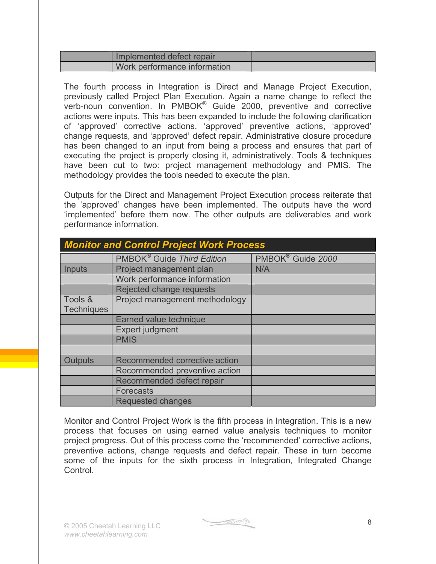| Implemented defect repair    |  |
|------------------------------|--|
| Work performance information |  |

The fourth process in Integration is Direct and Manage Project Execution, previously called Project Plan Execution. Again a name change to reflect the verb-noun convention. In PMBOK® Guide 2000, preventive and corrective actions were inputs. This has been expanded to include the following clarification of 'approved' corrective actions, 'approved' preventive actions, 'approved' change requests, and 'approved' defect repair. Administrative closure procedure has been changed to an input from being a process and ensures that part of executing the project is properly closing it, administratively. Tools & techniques have been cut to two: project management methodology and PMIS. The methodology provides the tools needed to execute the plan.

Outputs for the Direct and Management Project Execution process reiterate that the 'approved' changes have been implemented. The outputs have the word 'implemented' before them now. The other outputs are deliverables and work performance information.

| <b>Monitor and Control Project Work Process</b> |                                        |                               |
|-------------------------------------------------|----------------------------------------|-------------------------------|
|                                                 | PMBOK <sup>®</sup> Guide Third Edition | PMBOK <sup>®</sup> Guide 2000 |
| Inputs                                          | Project management plan                | N/A                           |
|                                                 | Work performance information           |                               |
|                                                 | Rejected change requests               |                               |
| Tools &<br><b>Techniques</b>                    | Project management methodology         |                               |
|                                                 | Earned value technique                 |                               |
|                                                 | Expert judgment                        |                               |
|                                                 | <b>PMIS</b>                            |                               |
|                                                 |                                        |                               |
| <b>Outputs</b>                                  | Recommended corrective action          |                               |
|                                                 | Recommended preventive action          |                               |
|                                                 | Recommended defect repair              |                               |
|                                                 | <b>Forecasts</b>                       |                               |
|                                                 | <b>Requested changes</b>               |                               |

Monitor and Control Project Work is the fifth process in Integration. This is a new process that focuses on using earned value analysis techniques to monitor project progress. Out of this process come the 'recommended' corrective actions, preventive actions, change requests and defect repair. These in turn become some of the inputs for the sixth process in Integration, Integrated Change Control.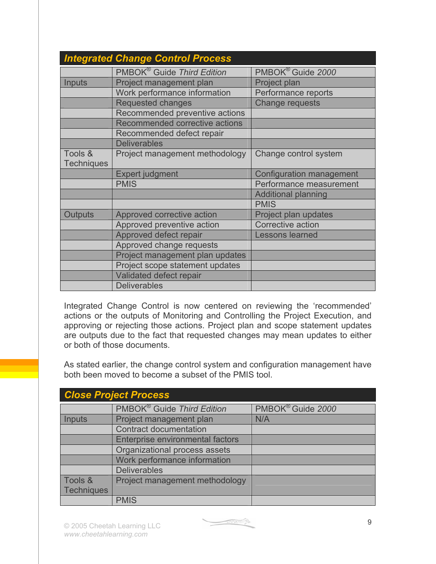|                   | <b>Integrated Change Control Process</b> |                               |
|-------------------|------------------------------------------|-------------------------------|
|                   | PMBOK <sup>®</sup> Guide Third Edition   | PMBOK <sup>®</sup> Guide 2000 |
| Inputs            | Project management plan                  | Project plan                  |
|                   | Work performance information             | Performance reports           |
|                   | <b>Requested changes</b>                 | <b>Change requests</b>        |
|                   | Recommended preventive actions           |                               |
|                   | Recommended corrective actions           |                               |
|                   | Recommended defect repair                |                               |
|                   | <b>Deliverables</b>                      |                               |
| Tools &           | Project management methodology           | Change control system         |
| <b>Techniques</b> |                                          |                               |
|                   | <b>Expert judgment</b>                   | Configuration management      |
|                   | <b>PMIS</b>                              | Performance measurement       |
|                   |                                          | <b>Additional planning</b>    |
|                   |                                          | <b>PMIS</b>                   |
| <b>Outputs</b>    | Approved corrective action               | Project plan updates          |
|                   | Approved preventive action               | <b>Corrective action</b>      |
|                   | Approved defect repair                   | Lessons learned               |
|                   | Approved change requests                 |                               |
|                   | Project management plan updates          |                               |
|                   | Project scope statement updates          |                               |
|                   | Validated defect repair                  |                               |
|                   | <b>Deliverables</b>                      |                               |

Integrated Change Control is now centered on reviewing the 'recommended' actions or the outputs of Monitoring and Controlling the Project Execution, and approving or rejecting those actions. Project plan and scope statement updates are outputs due to the fact that requested changes may mean updates to either or both of those documents.

As stated earlier, the change control system and configuration management have both been moved to become a subset of the PMIS tool.

| <b>Close Project Process</b> |                                        |                               |
|------------------------------|----------------------------------------|-------------------------------|
|                              | PMBOK <sup>®</sup> Guide Third Edition | PMBOK <sup>®</sup> Guide 2000 |
| Inputs                       | Project management plan                | N/A                           |
|                              | <b>Contract documentation</b>          |                               |
|                              | Enterprise environmental factors       |                               |
|                              | Organizational process assets          |                               |
|                              | Work performance information           |                               |
|                              | <b>Deliverables</b>                    |                               |
| Tools &                      | Project management methodology         |                               |
| Techniques                   |                                        |                               |
|                              | <b>PMIS</b>                            |                               |

 $\begin{picture}(20,10) \put(0,0){\line(1,0){10}} \put(15,0){\line(1,0){10}} \put(15,0){\line(1,0){10}} \put(15,0){\line(1,0){10}} \put(15,0){\line(1,0){10}} \put(15,0){\line(1,0){10}} \put(15,0){\line(1,0){10}} \put(15,0){\line(1,0){10}} \put(15,0){\line(1,0){10}} \put(15,0){\line(1,0){10}} \put(15,0){\line(1,0){10}} \put(15,0){\line(1$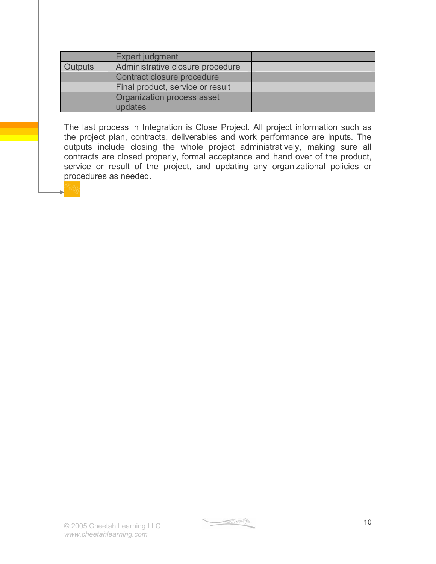|                | Expert judgment                       |  |
|----------------|---------------------------------------|--|
| <b>Outputs</b> | Administrative closure procedure      |  |
|                | Contract closure procedure            |  |
|                | Final product, service or result      |  |
|                | Organization process asset<br>updates |  |
|                |                                       |  |

The last process in Integration is Close Project. All project information such as the project plan, contracts, deliverables and work performance are inputs. The outputs include closing the whole project administratively, making sure all contracts are closed properly, formal acceptance and hand over of the product, service or result of the project, and updating any organizational policies or procedures as needed.

 $\begin{picture}(20,10) \put(0,0){\line(1,0){10}} \put(10,0){\line(1,0){10}} \put(10,0){\line(1,0){10}} \put(10,0){\line(1,0){10}} \put(10,0){\line(1,0){10}} \put(10,0){\line(1,0){10}} \put(10,0){\line(1,0){10}} \put(10,0){\line(1,0){10}} \put(10,0){\line(1,0){10}} \put(10,0){\line(1,0){10}} \put(10,0){\line(1,0){10}} \put(10,0){\line(1$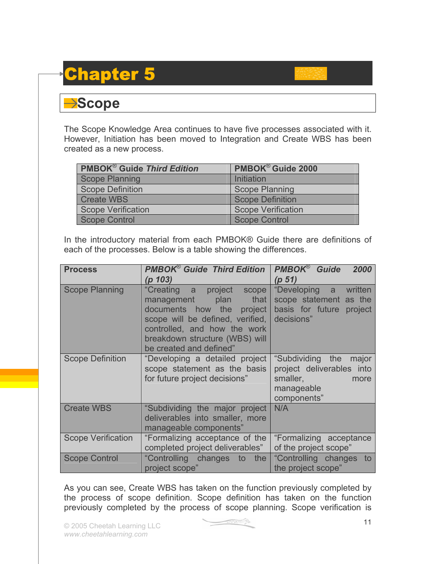### Chapter 5

#### **→Scope**

The Scope Knowledge Area continues to have five processes associated with it. However, Initiation has been moved to Integration and Create WBS has been created as a new process.

| <b>PMBOK<sup>®</sup> Guide Third Edition</b> | PMBOK <sup>®</sup> Guide 2000 |
|----------------------------------------------|-------------------------------|
| Scope Planning                               | Initiation                    |
| Scope Definition                             | <b>Scope Planning</b>         |
| <b>Create WBS</b>                            | <b>Scope Definition</b>       |
| Scope Verification                           | <b>Scope Verification</b>     |
| Scope Control                                | <b>Scope Control</b>          |

In the introductory material from each PMBOK® Guide there are definitions of each of the processes. Below is a table showing the differences.

| <b>Process</b>            | <b>PMBOK<sup>®</sup> Guide Third Edition</b>                                                                                                                                                                    | <b>PMBOK®</b> Guide<br>2000                                                                                                                                                                                                                                                                                                   |
|---------------------------|-----------------------------------------------------------------------------------------------------------------------------------------------------------------------------------------------------------------|-------------------------------------------------------------------------------------------------------------------------------------------------------------------------------------------------------------------------------------------------------------------------------------------------------------------------------|
|                           | (p 103)                                                                                                                                                                                                         | (p 51)                                                                                                                                                                                                                                                                                                                        |
| <b>Scope Planning</b>     | "Creating a project scope<br>management plan that<br>documents how the project<br>scope will be defined, verified,<br>controlled, and how the work<br>breakdown structure (WBS) will<br>be created and defined" | "Developing a written<br>scope statement as the<br>basis for future<br>project<br>decisions"                                                                                                                                                                                                                                  |
| <b>Scope Definition</b>   | "Developing a detailed project<br>scope statement as the basis<br>for future project decisions"                                                                                                                 | "Subdividing the<br>major<br>project deliverables into<br>smaller, and the state of the state of the state of the state of the state of the state of the state of the state of the state of the state of the state of the state of the state of the state of the state of the state of t<br>more<br>manageable<br>components" |
| <b>Create WBS</b>         | "Subdividing the major project<br>deliverables into smaller, more<br>manageable components"                                                                                                                     | N/A                                                                                                                                                                                                                                                                                                                           |
| <b>Scope Verification</b> | "Formalizing acceptance of the<br>completed project deliverables"                                                                                                                                               | "Formalizing acceptance<br>of the project scope"                                                                                                                                                                                                                                                                              |
| <b>Scope Control</b>      | "Controlling changes to the<br>project scope"                                                                                                                                                                   | "Controlling changes to<br>the project scope"                                                                                                                                                                                                                                                                                 |

As you can see, Create WBS has taken on the function previously completed by the process of scope definition. Scope definition has taken on the function previously completed by the process of scope planning. Scope verification is

$$
\underbrace{\hspace{4.5cm}}_{\textcolor{blue}{\textbf{5.5.5.5}}}
$$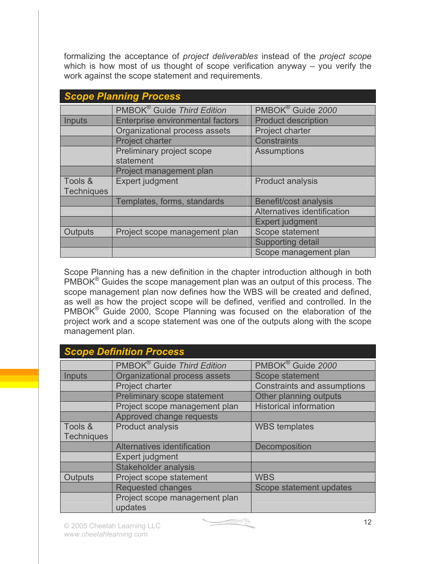formalizing the acceptance of *project deliverables* instead of the *project scope* which is how most of us thought of scope verification anyway – you verify the work against the scope statement and requirements.

| <b>Scope Planning Process</b> |                                         |                               |
|-------------------------------|-----------------------------------------|-------------------------------|
|                               | PMBOK <sup>®</sup> Guide Third Edition  | PMBOK <sup>®</sup> Guide 2000 |
| Inputs                        | <b>Enterprise environmental factors</b> | <b>Product description</b>    |
|                               | Organizational process assets           | Project charter               |
|                               | Project charter                         | <b>Constraints</b>            |
|                               | Preliminary project scope<br>statement  | <b>Assumptions</b>            |
|                               | Project management plan                 |                               |
| Tools &                       | Expert judgment                         | <b>Product analysis</b>       |
| <b>Techniques</b>             |                                         |                               |
|                               | Templates, forms, standards             | Benefit/cost analysis         |
|                               |                                         | Alternatives identification   |
|                               |                                         | <b>Expert judgment</b>        |
| Outputs                       | Project scope management plan           | Scope statement               |
|                               |                                         | <b>Supporting detail</b>      |
|                               |                                         | Scope management plan         |

Scope Planning has a new definition in the chapter introduction although in both PMBOK® Guides the scope management plan was an output of this process. The scope management plan now defines how the WBS will be created and defined, as well as how the project scope will be defined, verified and controlled. In the PMBOK® Guide 2000, Scope Planning was focused on the elaboration of the project work and a scope statement was one of the outputs along with the scope management plan.

|                   | <b>Scope Definition Process</b>        |                                    |  |
|-------------------|----------------------------------------|------------------------------------|--|
|                   | PMBOK <sup>®</sup> Guide Third Edition | PMBOK <sup>®</sup> Guide 2000      |  |
| <b>Inputs</b>     | Organizational process assets          | Scope statement                    |  |
|                   | Project charter                        | <b>Constraints and assumptions</b> |  |
|                   | Preliminary scope statement            | Other planning outputs             |  |
|                   | Project scope management plan          | <b>Historical information</b>      |  |
|                   | Approved change requests               |                                    |  |
| Tools &           | <b>Product analysis</b>                | <b>WBS</b> templates               |  |
| <b>Techniques</b> |                                        |                                    |  |
|                   | Alternatives identification            | Decomposition                      |  |
|                   | Expert judgment                        |                                    |  |
|                   | <b>Stakeholder analysis</b>            |                                    |  |
| Outputs           | Project scope statement                | <b>WBS</b>                         |  |
|                   | <b>Requested changes</b>               | Scope statement updates            |  |
|                   | Project scope management plan          |                                    |  |
|                   | updates                                |                                    |  |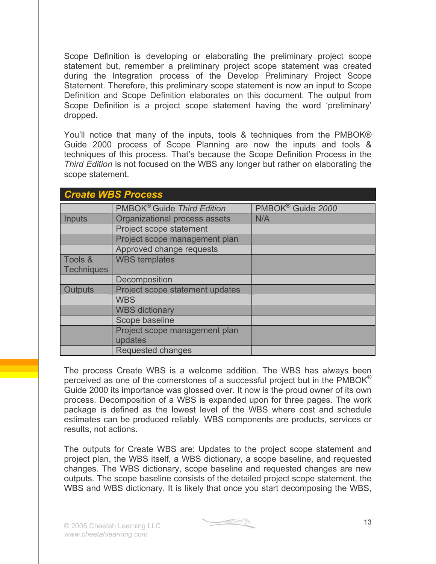Scope Definition is developing or elaborating the preliminary project scope statement but, remember a preliminary project scope statement was created during the Integration process of the Develop Preliminary Project Scope Statement. Therefore, this preliminary scope statement is now an input to Scope Definition and Scope Definition elaborates on this document. The output from Scope Definition is a project scope statement having the word 'preliminary' dropped.

You'll notice that many of the inputs, tools & techniques from the PMBOK® Guide 2000 process of Scope Planning are now the inputs and tools & techniques of this process. That's because the Scope Definition Process in the *Third Edition* is not focused on the WBS any longer but rather on elaborating the scope statement.

|                   | <b>Create WBS Process</b>              |                               |  |
|-------------------|----------------------------------------|-------------------------------|--|
|                   | PMBOK <sup>®</sup> Guide Third Edition | PMBOK <sup>®</sup> Guide 2000 |  |
| Inputs            | Organizational process assets          | N/A                           |  |
|                   | Project scope statement                |                               |  |
|                   | Project scope management plan          |                               |  |
|                   | Approved change requests               |                               |  |
| Tools &           | <b>WBS</b> templates                   |                               |  |
| <b>Techniques</b> |                                        |                               |  |
|                   | Decomposition                          |                               |  |
| <b>Outputs</b>    | Project scope statement updates        |                               |  |
|                   | <b>WBS</b>                             |                               |  |
|                   | <b>WBS dictionary</b>                  |                               |  |
|                   | Scope baseline                         |                               |  |
|                   | Project scope management plan          |                               |  |
|                   | updates                                |                               |  |
|                   | Requested changes                      |                               |  |

The process Create WBS is a welcome addition. The WBS has always been perceived as one of the cornerstones of a successful project but in the PMBOK® Guide 2000 its importance was glossed over. It now is the proud owner of its own process. Decomposition of a WBS is expanded upon for three pages. The work package is defined as the lowest level of the WBS where cost and schedule estimates can be produced reliably. WBS components are products, services or results, not actions.

The outputs for Create WBS are: Updates to the project scope statement and project plan, the WBS itself, a WBS dictionary, a scope baseline, and requested changes. The WBS dictionary, scope baseline and requested changes are new outputs. The scope baseline consists of the detailed project scope statement, the WBS and WBS dictionary. It is likely that once you start decomposing the WBS,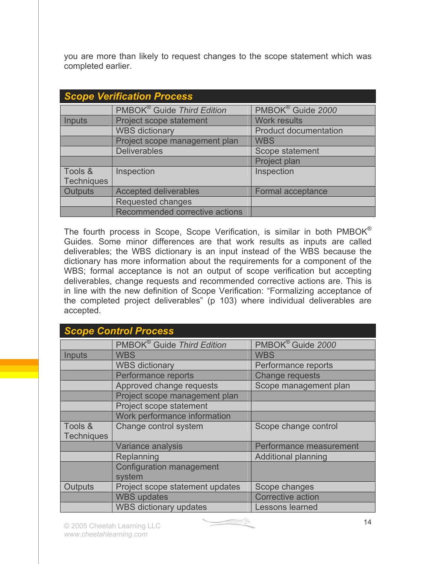you are more than likely to request changes to the scope statement which was completed earlier.

| <b>Scope Verification Process</b> |                                        |                               |
|-----------------------------------|----------------------------------------|-------------------------------|
|                                   | PMBOK <sup>®</sup> Guide Third Edition | PMBOK <sup>®</sup> Guide 2000 |
| <b>Inputs</b>                     | Project scope statement                | <b>Work results</b>           |
|                                   | <b>WBS dictionary</b>                  | <b>Product documentation</b>  |
|                                   | Project scope management plan          | <b>WBS</b>                    |
|                                   | <b>Deliverables</b>                    | Scope statement               |
|                                   |                                        | Project plan                  |
| Tools &                           | Inspection                             | Inspection                    |
| <b>Techniques</b>                 |                                        |                               |
| <b>Outputs</b>                    | <b>Accepted deliverables</b>           | Formal acceptance             |
|                                   | <b>Requested changes</b>               |                               |
|                                   | Recommended corrective actions         |                               |

The fourth process in Scope, Scope Verification, is similar in both  $PMBOK^{\circledcirc}$ Guides. Some minor differences are that work results as inputs are called deliverables; the WBS dictionary is an input instead of the WBS because the dictionary has more information about the requirements for a component of the WBS; formal acceptance is not an output of scope verification but accepting deliverables, change requests and recommended corrective actions are. This is in line with the new definition of Scope Verification: "Formalizing acceptance of the completed project deliverables" (p 103) where individual deliverables are accepted.

| <b>Scope Control Process</b> |                                           |                               |
|------------------------------|-------------------------------------------|-------------------------------|
|                              | PMBOK <sup>®</sup> Guide Third Edition    | PMBOK <sup>®</sup> Guide 2000 |
| <b>Inputs</b>                | <b>WBS</b>                                | <b>WBS</b>                    |
|                              | <b>WBS dictionary</b>                     | Performance reports           |
|                              | Performance reports                       | <b>Change requests</b>        |
|                              | Approved change requests                  | Scope management plan         |
|                              | Project scope management plan             |                               |
|                              | Project scope statement                   |                               |
|                              | Work performance information              |                               |
| Tools &<br><b>Techniques</b> | Change control system                     | Scope change control          |
|                              | Variance analysis                         | Performance measurement       |
|                              | Replanning                                | <b>Additional planning</b>    |
|                              | <b>Configuration management</b><br>system |                               |
| Outputs                      | Project scope statement updates           | Scope changes                 |
|                              | <b>WBS</b> updates                        | <b>Corrective action</b>      |
|                              | <b>WBS dictionary updates</b>             | Lessons learned               |

 $\begin{picture}(20,10) \put(0,0){\line(1,0){10}} \put(10,0){\line(1,0){10}} \put(10,0){\line(1,0){10}} \put(10,0){\line(1,0){10}} \put(10,0){\line(1,0){10}} \put(10,0){\line(1,0){10}} \put(10,0){\line(1,0){10}} \put(10,0){\line(1,0){10}} \put(10,0){\line(1,0){10}} \put(10,0){\line(1,0){10}} \put(10,0){\line(1,0){10}} \put(10,0){\line(1$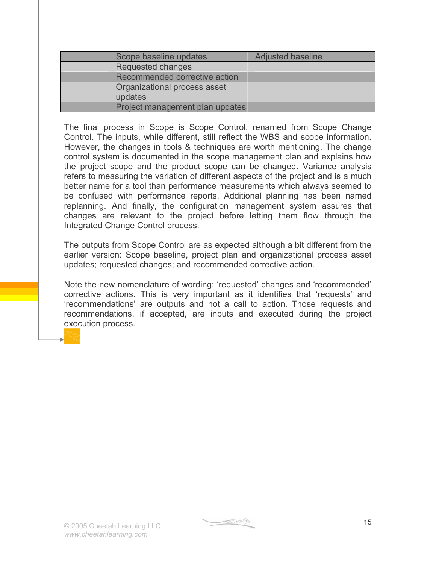| Scope baseline updates                  | <b>Adjusted baseline</b> |
|-----------------------------------------|--------------------------|
| Requested changes                       |                          |
| Recommended corrective action           |                          |
| Organizational process asset<br>updates |                          |
| Project management plan updates         |                          |

The final process in Scope is Scope Control, renamed from Scope Change Control. The inputs, while different, still reflect the WBS and scope information. However, the changes in tools & techniques are worth mentioning. The change control system is documented in the scope management plan and explains how the project scope and the product scope can be changed. Variance analysis refers to measuring the variation of different aspects of the project and is a much better name for a tool than performance measurements which always seemed to be confused with performance reports. Additional planning has been named replanning. And finally, the configuration management system assures that changes are relevant to the project before letting them flow through the Integrated Change Control process.

The outputs from Scope Control are as expected although a bit different from the earlier version: Scope baseline, project plan and organizational process asset updates; requested changes; and recommended corrective action.

Note the new nomenclature of wording: 'requested' changes and 'recommended' corrective actions. This is very important as it identifies that 'requests' and 'recommendations' are outputs and not a call to action. Those requests and recommendations, if accepted, are inputs and executed during the project execution process.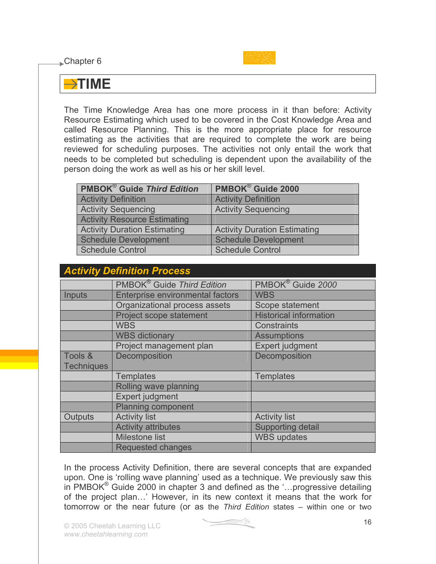Chapter 6



#### **TIME**

The Time Knowledge Area has one more process in it than before: Activity Resource Estimating which used to be covered in the Cost Knowledge Area and called Resource Planning. This is the more appropriate place for resource estimating as the activities that are required to complete the work are being reviewed for scheduling purposes. The activities not only entail the work that needs to be completed but scheduling is dependent upon the availability of the person doing the work as well as his or her skill level.

| <b>PMBOK<sup>®</sup> Guide Third Edition</b> | PMBOK <sup>®</sup> Guide 2000       |
|----------------------------------------------|-------------------------------------|
| <b>Activity Definition</b>                   | <b>Activity Definition</b>          |
| <b>Activity Sequencing</b>                   | <b>Activity Sequencing</b>          |
| <b>Activity Resource Estimating</b>          |                                     |
| <b>Activity Duration Estimating</b>          | <b>Activity Duration Estimating</b> |
| <b>Schedule Development</b>                  | <b>Schedule Development</b>         |
| <b>Schedule Control</b>                      | <b>Schedule Control</b>             |

| <b>Activity Definition Process</b> |                                        |                               |
|------------------------------------|----------------------------------------|-------------------------------|
|                                    | PMBOK <sup>®</sup> Guide Third Edition | PMBOK <sup>®</sup> Guide 2000 |
| Inputs                             | Enterprise environmental factors       | <b>WBS</b>                    |
|                                    | Organizational process assets          | Scope statement               |
|                                    | Project scope statement                | <b>Historical information</b> |
|                                    | <b>WBS</b>                             | Constraints                   |
|                                    | <b>WBS</b> dictionary                  | <b>Assumptions</b>            |
|                                    | Project management plan                | <b>Expert judgment</b>        |
| Tools &                            | Decomposition                          | Decomposition                 |
| <b>Techniques</b>                  |                                        |                               |
|                                    | <b>Templates</b>                       | <b>Templates</b>              |
|                                    | Rolling wave planning                  |                               |
|                                    | Expert judgment                        |                               |
|                                    | <b>Planning component</b>              |                               |
| Outputs                            | <b>Activity list</b>                   | <b>Activity list</b>          |
|                                    | <b>Activity attributes</b>             | <b>Supporting detail</b>      |
|                                    | <b>Milestone list</b>                  | <b>WBS</b> updates            |
|                                    | Requested changes                      |                               |

In the process Activity Definition, there are several concepts that are expanded upon. One is 'rolling wave planning' used as a technique. We previously saw this in PMBOK® Guide 2000 in chapter 3 and defined as the '…progressive detailing of the project plan…' However, in its new context it means that the work for tomorrow or the near future (or as the *Third Edition* states – within one or two

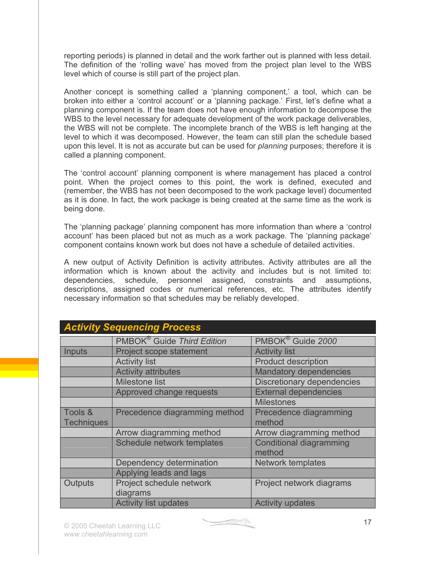reporting periods) is planned in detail and the work farther out is planned with less detail. The definition of the 'rolling wave' has moved from the project plan level to the WBS level which of course is still part of the project plan.

Another concept is something called a 'planning component,' a tool, which can be broken into either a 'control account' or a 'planning package.' First, let's define what a planning component is. If the team does not have enough information to decompose the WBS to the level necessary for adequate development of the work package deliverables, the WBS will not be complete. The incomplete branch of the WBS is left hanging at the level to which it was decomposed. However, the team can still plan the schedule based upon this level. It is not as accurate but can be used for *planning* purposes; therefore it is called a planning component.

The 'control account' planning component is where management has placed a control point. When the project comes to this point, the work is defined, executed and (remember, the WBS has not been decomposed to the work package level) documented as it is done. In fact, the work package is being created at the same time as the work is being done.

The 'planning package' planning component has more information than where a 'control account' has been placed but not as much as a work package. The 'planning package' component contains known work but does not have a schedule of detailed activities.

A new output of Activity Definition is activity attributes. Activity attributes are all the information which is known about the activity and includes but is not limited to: dependencies, schedule, personnel assigned, constraints and assumptions, descriptions, assigned codes or numerical references, etc. The attributes identify necessary information so that schedules may be reliably developed.

|                   | <b>Activity Sequencing Process</b>     |                                          |
|-------------------|----------------------------------------|------------------------------------------|
|                   | PMBOK <sup>®</sup> Guide Third Edition | PMBOK <sup>®</sup> Guide 2000            |
| <b>Inputs</b>     | Project scope statement                | <b>Activity list</b>                     |
|                   | <b>Activity list</b>                   | <b>Product description</b>               |
|                   | <b>Activity attributes</b>             | <b>Mandatory dependencies</b>            |
|                   | <b>Milestone list</b>                  | Discretionary dependencies               |
|                   | Approved change requests               | <b>External dependencies</b>             |
|                   |                                        | <b>Milestones</b>                        |
| Tools &           | Precedence diagramming method          | Precedence diagramming                   |
| <b>Techniques</b> |                                        | method                                   |
|                   | Arrow diagramming method               | Arrow diagramming method                 |
|                   | Schedule network templates             | <b>Conditional diagramming</b><br>method |
|                   | Dependency determination               | <b>Network templates</b>                 |
|                   | Applying leads and lags                |                                          |
| Outputs           | Project schedule network<br>diagrams   | Project network diagrams                 |
|                   | <b>Activity list updates</b>           | <b>Activity updates</b>                  |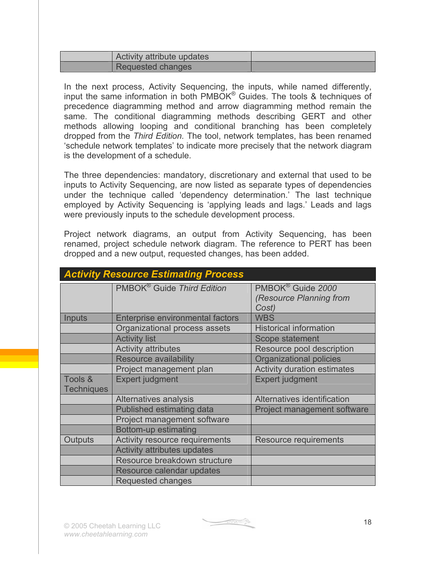| Activity attribute updates |  |
|----------------------------|--|
| Requested changes          |  |

In the next process, Activity Sequencing, the inputs, while named differently, input the same information in both PMBOK<sup>®</sup> Guides. The tools & techniques of precedence diagramming method and arrow diagramming method remain the same. The conditional diagramming methods describing GERT and other methods allowing looping and conditional branching has been completely dropped from the *Third Edition.* The tool, network templates, has been renamed 'schedule network templates' to indicate more precisely that the network diagram is the development of a schedule.

The three dependencies: mandatory, discretionary and external that used to be inputs to Activity Sequencing, are now listed as separate types of dependencies under the technique called 'dependency determination.' The last technique employed by Activity Sequencing is 'applying leads and lags.' Leads and lags were previously inputs to the schedule development process.

Project network diagrams, an output from Activity Sequencing, has been renamed, project schedule network diagram. The reference to PERT has been dropped and a new output, requested changes, has been added.

|                              | <b>Activity Resource Estimating Process</b> |                                                                   |
|------------------------------|---------------------------------------------|-------------------------------------------------------------------|
|                              | PMBOK <sup>®</sup> Guide Third Edition      | PMBOK <sup>®</sup> Guide 2000<br>(Resource Planning from<br>Cost) |
| Inputs                       | Enterprise environmental factors            | <b>WBS</b>                                                        |
|                              | Organizational process assets               | <b>Historical information</b>                                     |
|                              | <b>Activity list</b>                        | Scope statement                                                   |
|                              | <b>Activity attributes</b>                  | Resource pool description                                         |
|                              | <b>Resource availability</b>                | Organizational policies                                           |
|                              | Project management plan                     | <b>Activity duration estimates</b>                                |
| Tools &<br><b>Techniques</b> | <b>Expert judgment</b>                      | <b>Expert judgment</b>                                            |
|                              | Alternatives analysis                       | Alternatives identification                                       |
|                              | Published estimating data                   | Project management software                                       |
|                              | Project management software                 |                                                                   |
|                              | Bottom-up estimating                        |                                                                   |
| Outputs                      | Activity resource requirements              | Resource requirements                                             |
|                              | <b>Activity attributes updates</b>          |                                                                   |
|                              | Resource breakdown structure                |                                                                   |
|                              | Resource calendar updates                   |                                                                   |
|                              | Requested changes                           |                                                                   |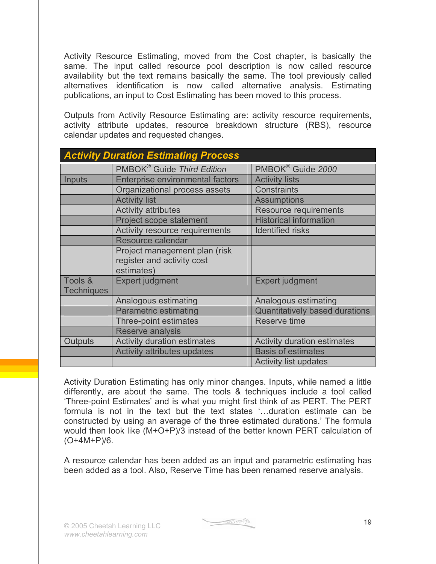Activity Resource Estimating, moved from the Cost chapter, is basically the same. The input called resource pool description is now called resource availability but the text remains basically the same. The tool previously called alternatives identification is now called alternative analysis. Estimating publications, an input to Cost Estimating has been moved to this process.

Outputs from Activity Resource Estimating are: activity resource requirements, activity attribute updates, resource breakdown structure (RBS), resource calendar updates and requested changes.

|                              | <b>Activity Duration Estimating Process</b>                               |                                       |
|------------------------------|---------------------------------------------------------------------------|---------------------------------------|
|                              | PMBOK <sup>®</sup> Guide Third Edition                                    | PMBOK <sup>®</sup> Guide 2000         |
| Inputs                       | Enterprise environmental factors                                          | <b>Activity lists</b>                 |
|                              | Organizational process assets                                             | <b>Constraints</b>                    |
|                              | <b>Activity list</b>                                                      | <b>Assumptions</b>                    |
|                              | <b>Activity attributes</b>                                                | <b>Resource requirements</b>          |
|                              | Project scope statement                                                   | <b>Historical information</b>         |
|                              | Activity resource requirements                                            | <b>Identified risks</b>               |
|                              | Resource calendar                                                         |                                       |
|                              | Project management plan (risk<br>register and activity cost<br>estimates) |                                       |
| Tools &<br><b>Techniques</b> | <b>Expert judgment</b>                                                    | <b>Expert judgment</b>                |
|                              | Analogous estimating                                                      | Analogous estimating                  |
|                              | <b>Parametric estimating</b>                                              | <b>Quantitatively based durations</b> |
|                              | Three-point estimates                                                     | <b>Reserve time</b>                   |
|                              | Reserve analysis                                                          |                                       |
| Outputs                      | <b>Activity duration estimates</b>                                        | <b>Activity duration estimates</b>    |
|                              | <b>Activity attributes updates</b>                                        | <b>Basis of estimates</b>             |
|                              |                                                                           | <b>Activity list updates</b>          |

Activity Duration Estimating has only minor changes. Inputs, while named a little differently, are about the same. The tools & techniques include a tool called 'Three-point Estimates' and is what you might first think of as PERT. The PERT formula is not in the text but the text states '…duration estimate can be constructed by using an average of the three estimated durations.' The formula would then look like (M+O+P)/3 instead of the better known PERT calculation of (O+4M+P)/6.

A resource calendar has been added as an input and parametric estimating has been added as a tool. Also, Reserve Time has been renamed reserve analysis.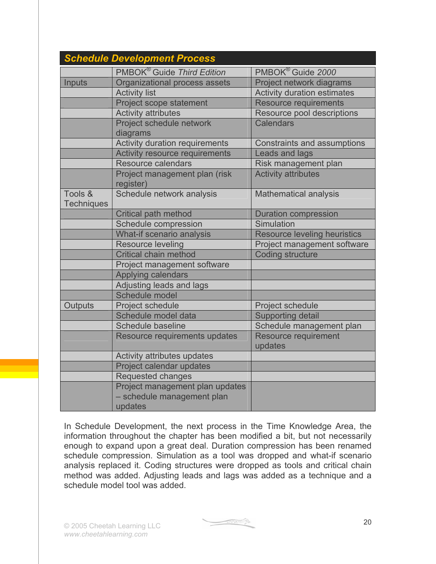|                              | <b>Schedule Development Process</b>                                      |                                     |
|------------------------------|--------------------------------------------------------------------------|-------------------------------------|
|                              | PMBOK <sup>®</sup> Guide Third Edition                                   | PMBOK® Guide 2000                   |
| Inputs                       | Organizational process assets                                            | Project network diagrams            |
|                              | <b>Activity list</b>                                                     | <b>Activity duration estimates</b>  |
|                              | Project scope statement                                                  | <b>Resource requirements</b>        |
|                              | <b>Activity attributes</b>                                               | Resource pool descriptions          |
|                              | Project schedule network                                                 | <b>Calendars</b>                    |
|                              | diagrams                                                                 |                                     |
|                              | <b>Activity duration requirements</b>                                    | <b>Constraints and assumptions</b>  |
|                              | <b>Activity resource requirements</b>                                    | <b>Leads and lags</b>               |
|                              | <b>Resource calendars</b>                                                | Risk management plan                |
|                              | Project management plan (risk<br>register)                               | <b>Activity attributes</b>          |
| Tools &<br><b>Techniques</b> | Schedule network analysis                                                | <b>Mathematical analysis</b>        |
|                              | Critical path method                                                     | <b>Duration compression</b>         |
|                              | Schedule compression                                                     | Simulation                          |
|                              | What-if scenario analysis                                                | <b>Resource leveling heuristics</b> |
|                              | <b>Resource leveling</b>                                                 | Project management software         |
|                              | <b>Critical chain method</b>                                             | <b>Coding structure</b>             |
|                              | Project management software                                              |                                     |
|                              | Applying calendars                                                       |                                     |
|                              | Adjusting leads and lags                                                 |                                     |
|                              | Schedule model                                                           |                                     |
| Outputs                      | Project schedule                                                         | Project schedule                    |
|                              | Schedule model data                                                      | <b>Supporting detail</b>            |
|                              | Schedule baseline                                                        | Schedule management plan            |
|                              | Resource requirements updates                                            | <b>Resource requirement</b>         |
|                              |                                                                          | updates                             |
|                              | Activity attributes updates                                              |                                     |
|                              | Project calendar updates                                                 |                                     |
|                              | Requested changes                                                        |                                     |
|                              | Project management plan updates<br>- schedule management plan<br>updates |                                     |

In Schedule Development, the next process in the Time Knowledge Area, the information throughout the chapter has been modified a bit, but not necessarily enough to expand upon a great deal. Duration compression has been renamed schedule compression. Simulation as a tool was dropped and what-if scenario analysis replaced it. Coding structures were dropped as tools and critical chain method was added. Adjusting leads and lags was added as a technique and a schedule model tool was added.

 $\begin{picture}(20,10) \put(0,0){\line(1,0){10}} \put(10,0){\line(1,0){10}} \put(10,0){\line(1,0){10}} \put(10,0){\line(1,0){10}} \put(10,0){\line(1,0){10}} \put(10,0){\line(1,0){10}} \put(10,0){\line(1,0){10}} \put(10,0){\line(1,0){10}} \put(10,0){\line(1,0){10}} \put(10,0){\line(1,0){10}} \put(10,0){\line(1,0){10}} \put(10,0){\line(1$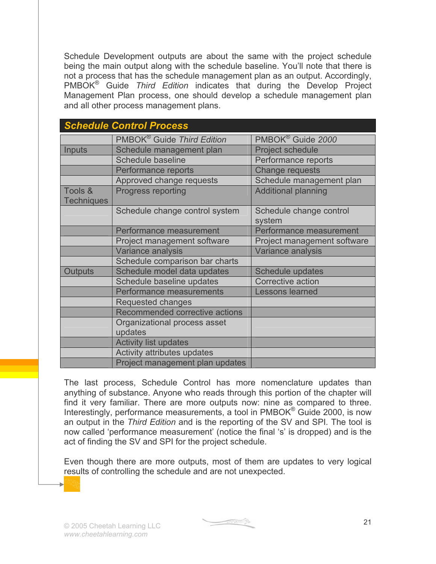Schedule Development outputs are about the same with the project schedule being the main output along with the schedule baseline. You'll note that there is not a process that has the schedule management plan as an output. Accordingly, PMBOK® Guide *Third Edition* indicates that during the Develop Project Management Plan process, one should develop a schedule management plan and all other process management plans.

|                              | <b>Schedule Control Process</b>         |                                   |
|------------------------------|-----------------------------------------|-----------------------------------|
|                              | PMBOK <sup>®</sup> Guide Third Edition  | PMBOK <sup>®</sup> Guide 2000     |
| Inputs                       | Schedule management plan                | <b>Project schedule</b>           |
|                              | Schedule baseline                       | Performance reports               |
|                              | Performance reports                     | <b>Change requests</b>            |
|                              | Approved change requests                | Schedule management plan          |
| Tools &<br><b>Techniques</b> | Progress reporting                      | <b>Additional planning</b>        |
|                              | Schedule change control system          | Schedule change control<br>system |
|                              | Performance measurement                 | Performance measurement           |
|                              | Project management software             | Project management software       |
|                              | Variance analysis                       | Variance analysis                 |
|                              | Schedule comparison bar charts          |                                   |
| Outputs                      | Schedule model data updates             | Schedule updates                  |
|                              | Schedule baseline updates               | Corrective action                 |
|                              | Performance measurements                | Lessons learned                   |
|                              | Requested changes                       |                                   |
|                              | Recommended corrective actions          |                                   |
|                              | Organizational process asset<br>updates |                                   |
|                              | <b>Activity list updates</b>            |                                   |
|                              | Activity attributes updates             |                                   |
|                              | Project management plan updates         |                                   |

The last process, Schedule Control has more nomenclature updates than anything of substance. Anyone who reads through this portion of the chapter will find it very familiar. There are more outputs now: nine as compared to three. Interestingly, performance measurements, a tool in PMBOK® Guide 2000, is now an output in the *Third Edition* and is the reporting of the SV and SPI*.* The tool is now called 'performance measurement' (notice the final 's' is dropped) and is the act of finding the SV and SPI for the project schedule.

Even though there are more outputs, most of them are updates to very logical results of controlling the schedule and are not unexpected.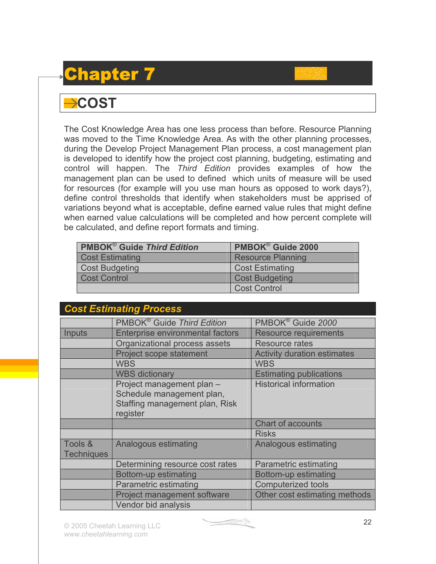## Chapter 7

#### $\rightarrow$  COST

The Cost Knowledge Area has one less process than before. Resource Planning was moved to the Time Knowledge Area. As with the other planning processes, during the Develop Project Management Plan process, a cost management plan is developed to identify how the project cost planning, budgeting, estimating and control will happen. The *Third Edition* provides examples of how the management plan can be used to defined which units of measure will be used for resources (for example will you use man hours as opposed to work days?), define control thresholds that identify when stakeholders must be apprised of variations beyond what is acceptable, define earned value rules that might define when earned value calculations will be completed and how percent complete will be calculated, and define report formats and timing.

| <b>PMBOK<sup>®</sup> Guide Third Edition</b> | <b>PMBOK®</b> Guide 2000 |
|----------------------------------------------|--------------------------|
| <b>Cost Estimating</b>                       | <b>Resource Planning</b> |
| <b>Cost Budgeting</b>                        | <b>Cost Estimating</b>   |
| <b>Cost Control</b>                          | <b>Cost Budgeting</b>    |
|                                              | <b>Cost Control</b>      |

|                              | <b>Cost Estimating Process</b>                                                                       |                                    |  |
|------------------------------|------------------------------------------------------------------------------------------------------|------------------------------------|--|
|                              | PMBOK <sup>®</sup> Guide Third Edition                                                               | PMBOK <sup>®</sup> Guide 2000      |  |
| Inputs                       | Enterprise environmental factors                                                                     | <b>Resource requirements</b>       |  |
|                              | Organizational process assets                                                                        | <b>Resource rates</b>              |  |
|                              | Project scope statement                                                                              | <b>Activity duration estimates</b> |  |
|                              | <b>WBS</b>                                                                                           | <b>WBS</b>                         |  |
|                              | <b>WBS dictionary</b>                                                                                | <b>Estimating publications</b>     |  |
|                              | Project management plan -<br>Schedule management plan,<br>Staffing management plan, Risk<br>register | <b>Historical information</b>      |  |
|                              |                                                                                                      | <b>Chart of accounts</b>           |  |
|                              |                                                                                                      | <b>Risks</b>                       |  |
| Tools &<br><b>Techniques</b> | Analogous estimating                                                                                 | Analogous estimating               |  |
|                              | Determining resource cost rates                                                                      | Parametric estimating              |  |
|                              | Bottom-up estimating                                                                                 | Bottom-up estimating               |  |
|                              | <b>Parametric estimating</b>                                                                         | <b>Computerized tools</b>          |  |
|                              | Project management software                                                                          | Other cost estimating methods      |  |
|                              | Vendor bid analysis                                                                                  |                                    |  |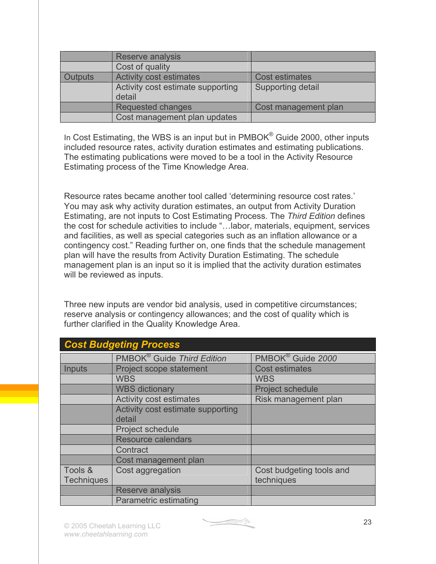|                | Reserve analysis                            |                       |
|----------------|---------------------------------------------|-----------------------|
|                | Cost of quality                             |                       |
| <b>Outputs</b> | <b>Activity cost estimates</b>              | <b>Cost estimates</b> |
|                | Activity cost estimate supporting<br>detail | Supporting detail     |
|                | Requested changes                           | Cost management plan  |
|                | Cost management plan updates                |                       |

In Cost Estimating, the WBS is an input but in PMBOK<sup>®</sup> Guide 2000, other inputs included resource rates, activity duration estimates and estimating publications. The estimating publications were moved to be a tool in the Activity Resource Estimating process of the Time Knowledge Area.

Resource rates became another tool called 'determining resource cost rates.' You may ask why activity duration estimates, an output from Activity Duration Estimating, are not inputs to Cost Estimating Process. The *Third Edition* defines the cost for schedule activities to include "…labor, materials, equipment, services and facilities, as well as special categories such as an inflation allowance or a contingency cost." Reading further on, one finds that the schedule management plan will have the results from Activity Duration Estimating. The schedule management plan is an input so it is implied that the activity duration estimates will be reviewed as inputs.

Three new inputs are vendor bid analysis, used in competitive circumstances; reserve analysis or contingency allowances; and the cost of quality which is further clarified in the Quality Knowledge Area.

|                   | <b>Cost Budgeting Process</b>          |                               |
|-------------------|----------------------------------------|-------------------------------|
|                   | PMBOK <sup>®</sup> Guide Third Edition | PMBOK <sup>®</sup> Guide 2000 |
| <b>Inputs</b>     | Project scope statement                | <b>Cost estimates</b>         |
|                   | <b>WBS</b>                             | <b>WBS</b>                    |
|                   | <b>WBS dictionary</b>                  | <b>Project schedule</b>       |
|                   | <b>Activity cost estimates</b>         | Risk management plan          |
|                   | Activity cost estimate supporting      |                               |
|                   | detail                                 |                               |
|                   | Project schedule                       |                               |
|                   | <b>Resource calendars</b>              |                               |
|                   | Contract                               |                               |
|                   | Cost management plan                   |                               |
| Tools &           | Cost aggregation                       | Cost budgeting tools and      |
| <b>Techniques</b> |                                        | techniques                    |
|                   | Reserve analysis                       |                               |
|                   | <b>Parametric estimating</b>           |                               |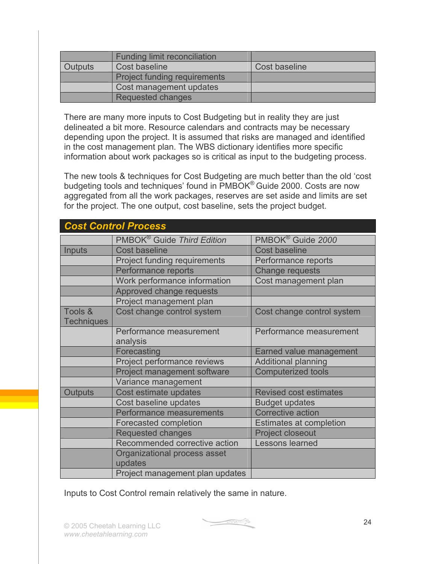|         | <b>Funding limit reconciliation</b> |               |
|---------|-------------------------------------|---------------|
| Outputs | Cost baseline                       | Cost baseline |
|         | <b>Project funding requirements</b> |               |
|         | Cost management updates             |               |
|         | <b>Requested changes</b>            |               |

There are many more inputs to Cost Budgeting but in reality they are just delineated a bit more. Resource calendars and contracts may be necessary depending upon the project. It is assumed that risks are managed and identified in the cost management plan. The WBS dictionary identifies more specific information about work packages so is critical as input to the budgeting process.

The new tools & techniques for Cost Budgeting are much better than the old 'cost budgeting tools and techniques' found in PMBOK® Guide 2000. Costs are now aggregated from all the work packages, reserves are set aside and limits are set for the project. The one output, cost baseline, sets the project budget.

|                              | <b>Cost Control Process</b>             |                                |
|------------------------------|-----------------------------------------|--------------------------------|
|                              | PMBOK <sup>®</sup> Guide Third Edition  | PMBOK® Guide 2000              |
| <b>Inputs</b>                | <b>Cost baseline</b>                    | <b>Cost baseline</b>           |
|                              | <b>Project funding requirements</b>     | Performance reports            |
|                              | Performance reports                     | Change requests                |
|                              | Work performance information            | Cost management plan           |
|                              | Approved change requests                |                                |
|                              | Project management plan                 |                                |
| Tools &<br><b>Techniques</b> | Cost change control system              | Cost change control system     |
|                              | Performance measurement<br>analysis     | Performance measurement        |
|                              | Forecasting                             | Earned value management        |
|                              | Project performance reviews             | <b>Additional planning</b>     |
|                              | Project management software             | <b>Computerized tools</b>      |
|                              | Variance management                     |                                |
| <b>Outputs</b>               | Cost estimate updates                   | <b>Revised cost estimates</b>  |
|                              | Cost baseline updates                   | <b>Budget updates</b>          |
|                              | Performance measurements                | <b>Corrective action</b>       |
|                              | <b>Forecasted completion</b>            | <b>Estimates at completion</b> |
|                              | <b>Requested changes</b>                | <b>Project closeout</b>        |
|                              | Recommended corrective action           | Lessons learned                |
|                              | Organizational process asset<br>updates |                                |
|                              | Project management plan updates         |                                |

Inputs to Cost Control remain relatively the same in nature.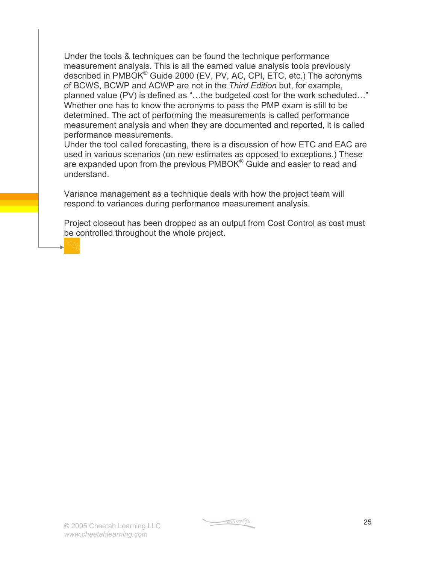Under the tools & techniques can be found the technique performance measurement analysis. This is all the earned value analysis tools previously described in PMBOK® Guide 2000 (EV, PV, AC, CPI, ETC, etc.) The acronyms of BCWS, BCWP and ACWP are not in the *Third Edition* but, for example, planned value (PV) is defined as "…the budgeted cost for the work scheduled…" Whether one has to know the acronyms to pass the PMP exam is still to be determined. The act of performing the measurements is called performance measurement analysis and when they are documented and reported, it is called performance measurements.

Under the tool called forecasting, there is a discussion of how ETC and EAC are used in various scenarios (on new estimates as opposed to exceptions.) These are expanded upon from the previous PMBOK<sup>®</sup> Guide and easier to read and understand.

Variance management as a technique deals with how the project team will respond to variances during performance measurement analysis.

Project closeout has been dropped as an output from Cost Control as cost must be controlled throughout the whole project.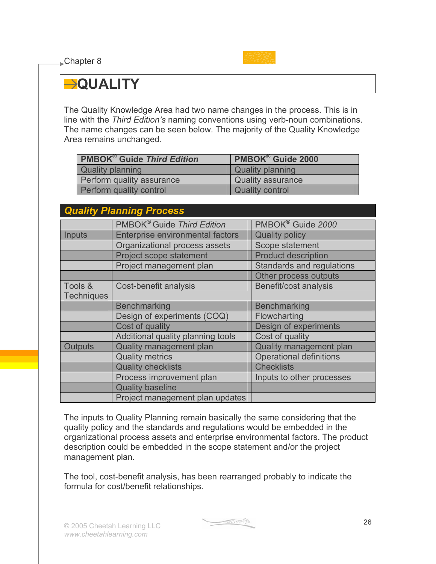**■Chapter 8** 



#### **QUALITY**

The Quality Knowledge Area had two name changes in the process. This is in line with the *Third Edition's* naming conventions using verb-noun combinations. The name changes can be seen below. The majority of the Quality Knowledge Area remains unchanged.

| <b>PMBOK<sup>®</sup> Guide Third Edition</b> | PMBOK <sup>®</sup> Guide 2000 |
|----------------------------------------------|-------------------------------|
| Quality planning                             | <b>Quality planning</b>       |
| Perform quality assurance                    | <b>Quality assurance</b>      |
| Perform quality control                      | <b>Quality control</b>        |

| <b>Quality Planning Process</b> |                                        |                                  |
|---------------------------------|----------------------------------------|----------------------------------|
|                                 | PMBOK <sup>®</sup> Guide Third Edition | PMBOK <sup>®</sup> Guide 2000    |
| Inputs                          | Enterprise environmental factors       | <b>Quality policy</b>            |
|                                 | Organizational process assets          | Scope statement                  |
|                                 | Project scope statement                | <b>Product description</b>       |
|                                 | Project management plan                | <b>Standards and regulations</b> |
|                                 |                                        | Other process outputs            |
| Tools &<br><b>Techniques</b>    | Cost-benefit analysis                  | Benefit/cost analysis            |
|                                 | <b>Benchmarking</b>                    | <b>Benchmarking</b>              |
|                                 | Design of experiments (COQ)            | Flowcharting                     |
|                                 | Cost of quality                        | Design of experiments            |
|                                 | Additional quality planning tools      | Cost of quality                  |
| <b>Outputs</b>                  | Quality management plan                | Quality management plan          |
|                                 | <b>Quality metrics</b>                 | <b>Operational definitions</b>   |
|                                 | <b>Quality checklists</b>              | <b>Checklists</b>                |
|                                 | Process improvement plan               | Inputs to other processes        |
|                                 | <b>Quality baseline</b>                |                                  |
|                                 | Project management plan updates        |                                  |

The inputs to Quality Planning remain basically the same considering that the quality policy and the standards and regulations would be embedded in the organizational process assets and enterprise environmental factors. The product description could be embedded in the scope statement and/or the project management plan.

The tool, cost-benefit analysis, has been rearranged probably to indicate the formula for cost/benefit relationships.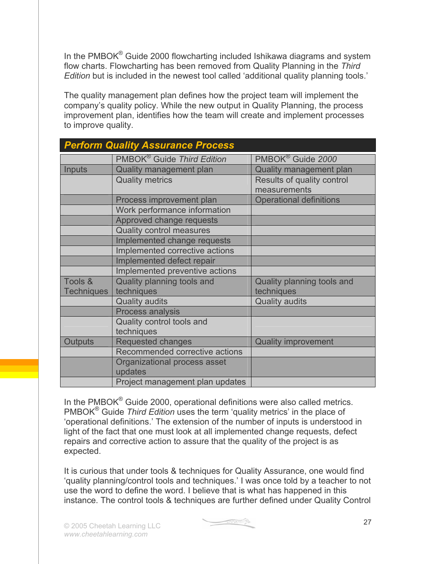In the PMBOK $^{\circ}$  Guide 2000 flowcharting included Ishikawa diagrams and system flow charts. Flowcharting has been removed from Quality Planning in the *Third Edition* but is included in the newest tool called 'additional quality planning tools.'

The quality management plan defines how the project team will implement the company's quality policy. While the new output in Quality Planning, the process improvement plan, identifies how the team will create and implement processes to improve quality.

| <b>Perform Quality Assurance Process</b> |                                         |                                            |
|------------------------------------------|-----------------------------------------|--------------------------------------------|
|                                          | PMBOK <sup>®</sup> Guide Third Edition  | PMBOK <sup>®</sup> Guide 2000              |
| Inputs                                   | Quality management plan                 | Quality management plan                    |
|                                          | <b>Quality metrics</b>                  | Results of quality control<br>measurements |
|                                          | Process improvement plan                | <b>Operational definitions</b>             |
|                                          | Work performance information            |                                            |
|                                          | Approved change requests                |                                            |
|                                          | <b>Quality control measures</b>         |                                            |
|                                          | Implemented change requests             |                                            |
|                                          | Implemented corrective actions          |                                            |
|                                          | Implemented defect repair               |                                            |
|                                          | Implemented preventive actions          |                                            |
| Tools &                                  | Quality planning tools and              | Quality planning tools and                 |
| <b>Techniques</b>                        | techniques                              | techniques                                 |
|                                          | <b>Quality audits</b>                   | <b>Quality audits</b>                      |
|                                          | Process analysis                        |                                            |
|                                          | Quality control tools and               |                                            |
|                                          | techniques                              |                                            |
| <b>Outputs</b>                           | <b>Requested changes</b>                | <b>Quality improvement</b>                 |
|                                          | Recommended corrective actions          |                                            |
|                                          | Organizational process asset<br>updates |                                            |
|                                          | Project management plan updates         |                                            |

In the PMBOK<sup>®</sup> Guide 2000, operational definitions were also called metrics. PMBOK® Guide *Third Edition* uses the term 'quality metrics' in the place of 'operational definitions.' The extension of the number of inputs is understood in light of the fact that one must look at all implemented change requests, defect repairs and corrective action to assure that the quality of the project is as expected.

It is curious that under tools & techniques for Quality Assurance, one would find 'quality planning/control tools and techniques.' I was once told by a teacher to not use the word to define the word. I believe that is what has happened in this instance. The control tools & techniques are further defined under Quality Control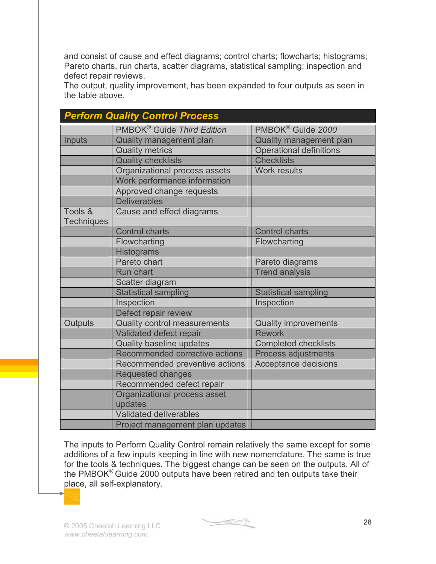and consist of cause and effect diagrams; control charts; flowcharts; histograms; Pareto charts, run charts, scatter diagrams, statistical sampling; inspection and defect repair reviews.

The output, quality improvement, has been expanded to four outputs as seen in the table above.

|                   | <b>Perform Quality Control Process</b> |                                |
|-------------------|----------------------------------------|--------------------------------|
|                   | PMBOK <sup>®</sup> Guide Third Edition | PMBOK <sup>®</sup> Guide 2000  |
| Inputs            | <b>Quality management plan</b>         | Quality management plan        |
|                   | <b>Quality metrics</b>                 | <b>Operational definitions</b> |
|                   | <b>Quality checklists</b>              | <b>Checklists</b>              |
|                   | Organizational process assets          | <b>Work results</b>            |
|                   | Work performance information           |                                |
|                   | Approved change requests               |                                |
|                   | <b>Deliverables</b>                    |                                |
| Tools &           | Cause and effect diagrams              |                                |
| <b>Techniques</b> |                                        |                                |
|                   | <b>Control charts</b>                  | <b>Control charts</b>          |
|                   | Flowcharting                           | Flowcharting                   |
|                   | <b>Histograms</b>                      |                                |
|                   | Pareto chart                           | Pareto diagrams                |
|                   | Run chart                              | <b>Trend analysis</b>          |
|                   | Scatter diagram                        |                                |
|                   | <b>Statistical sampling</b>            | <b>Statistical sampling</b>    |
|                   | Inspection                             | Inspection                     |
|                   | Defect repair review                   |                                |
| Outputs           | Quality control measurements           | <b>Quality improvements</b>    |
|                   | Validated defect repair                | <b>Rework</b>                  |
|                   | <b>Quality baseline updates</b>        | <b>Completed checklists</b>    |
|                   | Recommended corrective actions         | <b>Process adjustments</b>     |
|                   | Recommended preventive actions         | Acceptance decisions           |
|                   | <b>Requested changes</b>               |                                |
|                   | Recommended defect repair              |                                |
|                   | Organizational process asset           |                                |
|                   | updates                                |                                |
|                   | Validated deliverables                 |                                |
|                   | Project management plan updates        |                                |

The inputs to Perform Quality Control remain relatively the same except for some additions of a few inputs keeping in line with new nomenclature. The same is true for the tools & techniques. The biggest change can be seen on the outputs. All of the PMBOK® Guide 2000 outputs have been retired and ten outputs take their place, all self-explanatory.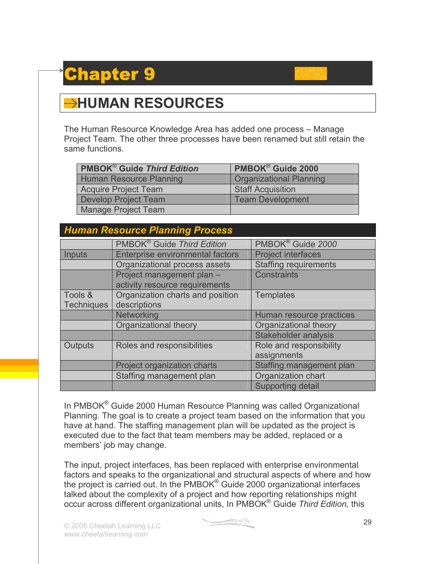### **apter**

### **HUMAN RESOURCES**

The Human Resource Knowledge Area has added one process – Manage Project Team. The other three processes have been renamed but still retain the same functions.

| <b>PMBOK<sup>®</sup> Guide Third Edition</b> | PMBOK <sup>®</sup> Guide 2000  |
|----------------------------------------------|--------------------------------|
| <b>Human Resource Planning</b>               | <b>Organizational Planning</b> |
| <b>Acquire Project Team</b>                  | <b>Staff Acquisition</b>       |
| Develop Project Team                         | <b>Team Development</b>        |
| <b>Manage Project Team</b>                   |                                |

#### *Human Resource Planning Process*

|                   | PMBOK <sup>®</sup> Guide Third Edition | PMBOK <sup>®</sup> Guide 2000 |
|-------------------|----------------------------------------|-------------------------------|
| Inputs            | Enterprise environmental factors       | <b>Project interfaces</b>     |
|                   | Organizational process assets          | <b>Staffing requirements</b>  |
|                   | Project management plan -              | <b>Constraints</b>            |
|                   | activity resource requirements         |                               |
| Tools &           | Organization charts and position       | <b>Templates</b>              |
| <b>Techniques</b> | descriptions                           |                               |
|                   | <b>Networking</b>                      | Human resource practices      |
|                   | Organizational theory                  | Organizational theory         |
|                   |                                        | <b>Stakeholder analysis</b>   |
| Outputs           | Roles and responsibilities             | Role and responsibility       |
|                   |                                        | assignments                   |
|                   | Project organization charts            | Staffing management plan      |
|                   | Staffing management plan               | Organization chart            |
|                   |                                        | <b>Supporting detail</b>      |

In PMBOK® Guide 2000 Human Resource Planning was called Organizational Planning. The goal is to create a project team based on the information that you have at hand. The staffing management plan will be updated as the project is executed due to the fact that team members may be added, replaced or a members' job may change.

The input, project interfaces, has been replaced with enterprise environmental factors and speaks to the organizational and structural aspects of where and how the project is carried out. In the PMBOK® Guide 2000 organizational interfaces talked about the complexity of a project and how reporting relationships might occur across different organizational units, In PMBOK® Guide *Third Edition,* this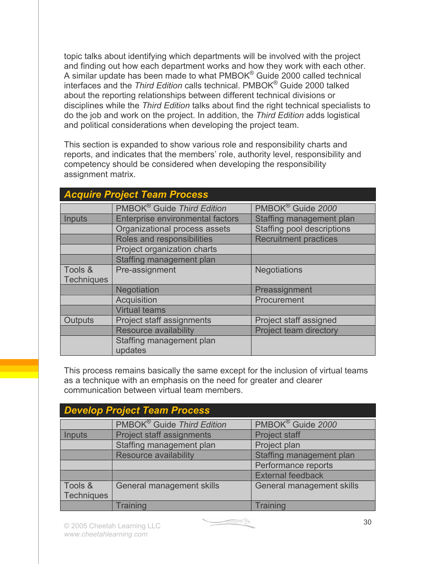topic talks about identifying which departments will be involved with the project and finding out how each department works and how they work with each other. A similar update has been made to what PMBOK® Guide 2000 called technical interfaces and the *Third Edition* calls technical. PMBOK® Guide 2000 talked about the reporting relationships between different technical divisions or disciplines while the *Third Edition* talks about find the right technical specialists to do the job and work on the project. In addition, the *Third Edition* adds logistical and political considerations when developing the project team.

This section is expanded to show various role and responsibility charts and reports, and indicates that the members' role, authority level, responsibility and competency should be considered when developing the responsibility assignment matrix.

| <b>Acquire Project Team Process</b> |                                        |                                   |
|-------------------------------------|----------------------------------------|-----------------------------------|
|                                     | PMBOK <sup>®</sup> Guide Third Edition | PMBOK <sup>®</sup> Guide 2000     |
| Inputs                              | Enterprise environmental factors       | Staffing management plan          |
|                                     | Organizational process assets          | <b>Staffing pool descriptions</b> |
|                                     | Roles and responsibilities             | <b>Recruitment practices</b>      |
|                                     | Project organization charts            |                                   |
|                                     | Staffing management plan               |                                   |
| Tools &                             | Pre-assignment                         | <b>Negotiations</b>               |
| <b>Techniques</b>                   |                                        |                                   |
|                                     | Negotiation                            | Preassignment                     |
|                                     | Acquisition                            | Procurement                       |
|                                     | <b>Virtual teams</b>                   |                                   |
| Outputs                             | Project staff assignments              | Project staff assigned            |
|                                     | <b>Resource availability</b>           | Project team directory            |
|                                     | Staffing management plan<br>updates    |                                   |

This process remains basically the same except for the inclusion of virtual teams as a technique with an emphasis on the need for greater and clearer communication between virtual team members.

| <b>Develop Project Team Process</b> |                                        |                               |
|-------------------------------------|----------------------------------------|-------------------------------|
|                                     | PMBOK <sup>®</sup> Guide Third Edition | PMBOK <sup>®</sup> Guide 2000 |
| Inputs                              | Project staff assignments              | <b>Project staff</b>          |
|                                     | Staffing management plan               | Project plan                  |
|                                     | Resource availability                  | Staffing management plan      |
|                                     |                                        | Performance reports           |
|                                     |                                        | <b>External feedback</b>      |
| Tools &                             | General management skills              | General management skills     |
| <b>Techniques</b>                   |                                        |                               |
|                                     | Training                               | <b>Training</b>               |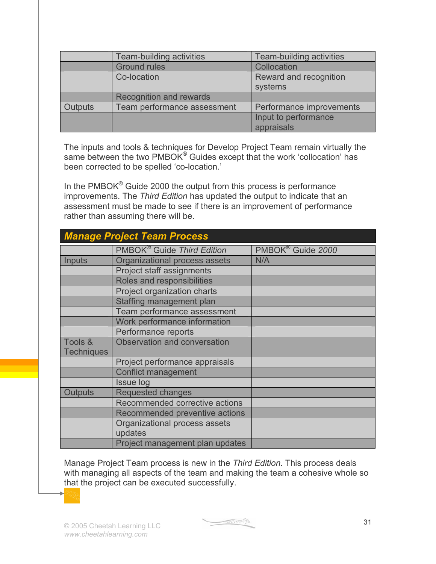|         | Team-building activities       | Team-building activities |
|---------|--------------------------------|--------------------------|
|         | <b>Ground rules</b>            | Collocation              |
|         | Co-location                    | Reward and recognition   |
|         |                                | systems                  |
|         | <b>Recognition and rewards</b> |                          |
| Outputs | Team performance assessment    | Performance improvements |
|         |                                | Input to performance     |
|         |                                | appraisals               |

The inputs and tools & techniques for Develop Project Team remain virtually the same between the two PMBOK<sup>®</sup> Guides except that the work 'collocation' has been corrected to be spelled 'co-location.'

In the PMBOK<sup>®</sup> Guide 2000 the output from this process is performance improvements. The *Third Edition* has updated the output to indicate that an assessment must be made to see if there is an improvement of performance rather than assuming there will be.

| <b>Manage Project Team Process</b> |                                        |                               |
|------------------------------------|----------------------------------------|-------------------------------|
|                                    | PMBOK <sup>®</sup> Guide Third Edition | PMBOK <sup>®</sup> Guide 2000 |
| Inputs                             | Organizational process assets          | N/A                           |
|                                    | Project staff assignments              |                               |
|                                    | Roles and responsibilities             |                               |
|                                    | Project organization charts            |                               |
|                                    | Staffing management plan               |                               |
|                                    | Team performance assessment            |                               |
|                                    | Work performance information           |                               |
|                                    | Performance reports                    |                               |
| Tools &                            | Observation and conversation           |                               |
| <b>Techniques</b>                  |                                        |                               |
|                                    | Project performance appraisals         |                               |
|                                    | <b>Conflict management</b>             |                               |
|                                    | Issue log                              |                               |
| <b>Outputs</b>                     | <b>Requested changes</b>               |                               |
|                                    | Recommended corrective actions         |                               |
|                                    | Recommended preventive actions         |                               |
|                                    | Organizational process assets          |                               |
|                                    | updates                                |                               |
|                                    | Project management plan updates        |                               |

Manage Project Team process is new in the *Third Edition.* This process deals with managing all aspects of the team and making the team a cohesive whole so that the project can be executed successfully.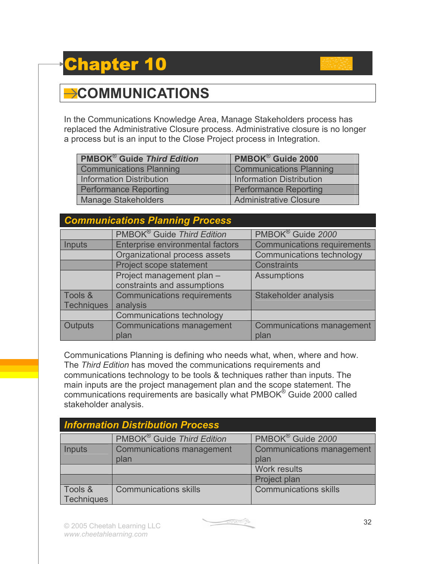## Chapter 10



In the Communications Knowledge Area, Manage Stakeholders process has replaced the Administrative Closure process. Administrative closure is no longer a process but is an input to the Close Project process in Integration.

| <b>PMBOK<sup>®</sup> Guide Third Edition</b> | PMBOK <sup>®</sup> Guide 2000   |
|----------------------------------------------|---------------------------------|
| <b>Communications Planning</b>               | <b>Communications Planning</b>  |
| <b>Information Distribution</b>              | <b>Information Distribution</b> |
| <b>Performance Reporting</b>                 | <b>Performance Reporting</b>    |
| <b>Manage Stakeholders</b>                   | <b>Administrative Closure</b>   |

#### *Communications Planning Process*

|                   | PMBOK <sup>®</sup> Guide Third Edition | PMBOK <sup>®</sup> Guide 2000      |
|-------------------|----------------------------------------|------------------------------------|
| Inputs            | Enterprise environmental factors       | <b>Communications requirements</b> |
|                   | Organizational process assets          | <b>Communications technology</b>   |
|                   | Project scope statement                | <b>Constraints</b>                 |
|                   | Project management plan -              | <b>Assumptions</b>                 |
|                   | constraints and assumptions            |                                    |
| Tools &           | <b>Communications requirements</b>     | Stakeholder analysis               |
| <b>Techniques</b> | analysis                               |                                    |
|                   | <b>Communications technology</b>       |                                    |
| Outputs           | <b>Communications management</b>       | <b>Communications management</b>   |
|                   | plan                                   | plan                               |

Communications Planning is defining who needs what, when, where and how. The *Third Edition* has moved the communications requirements and communications technology to be tools & techniques rather than inputs. The main inputs are the project management plan and the scope statement. The communications requirements are basically what PMBOK® Guide 2000 called stakeholder analysis.

| <b>Information Distribution Process</b> |                                        |                                  |
|-----------------------------------------|----------------------------------------|----------------------------------|
|                                         | PMBOK <sup>®</sup> Guide Third Edition | PMBOK <sup>®</sup> Guide 2000    |
| Inputs                                  | <b>Communications management</b>       | <b>Communications management</b> |
|                                         | plan                                   | plan                             |
|                                         |                                        | <b>Work results</b>              |
|                                         |                                        | Project plan                     |
| Tools &                                 | <b>Communications skills</b>           | <b>Communications skills</b>     |
| Techniques                              |                                        |                                  |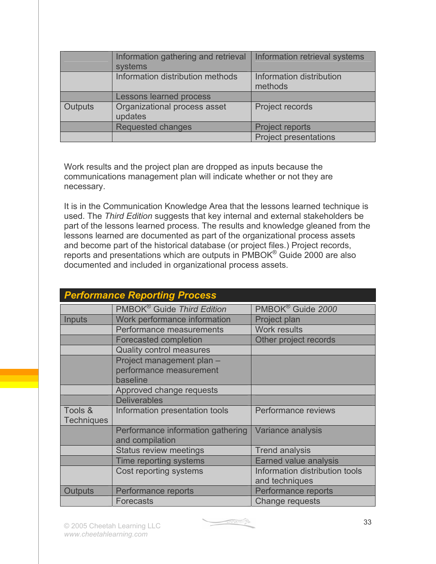|         | Information gathering and retrieval<br>systems | Information retrieval systems       |
|---------|------------------------------------------------|-------------------------------------|
|         | Information distribution methods               | Information distribution<br>methods |
|         | <b>Lessons learned process</b>                 |                                     |
| Outputs | Organizational process asset<br>updates        | Project records                     |
|         | Requested changes                              | <b>Project reports</b>              |
|         |                                                | <b>Project presentations</b>        |

Work results and the project plan are dropped as inputs because the communications management plan will indicate whether or not they are necessary.

It is in the Communication Knowledge Area that the lessons learned technique is used. The *Third Edition* suggests that key internal and external stakeholders be part of the lessons learned process. The results and knowledge gleaned from the lessons learned are documented as part of the organizational process assets and become part of the historical database (or project files.) Project records, reports and presentations which are outputs in PMBOK® Guide 2000 are also documented and included in organizational process assets.

|                   | <b>Performance Reporting Process</b>   |                                |  |
|-------------------|----------------------------------------|--------------------------------|--|
|                   | PMBOK <sup>®</sup> Guide Third Edition | PMBOK <sup>®</sup> Guide 2000  |  |
| <b>Inputs</b>     | Work performance information           | Project plan                   |  |
|                   | Performance measurements               | <b>Work results</b>            |  |
|                   | <b>Forecasted completion</b>           | Other project records          |  |
|                   | <b>Quality control measures</b>        |                                |  |
|                   | Project management plan -              |                                |  |
|                   | performance measurement                |                                |  |
|                   | baseline                               |                                |  |
|                   | Approved change requests               |                                |  |
|                   | <b>Deliverables</b>                    |                                |  |
| Tools &           | Information presentation tools         | Performance reviews            |  |
| <b>Techniques</b> |                                        |                                |  |
|                   | Performance information gathering      | Variance analysis              |  |
|                   | and compilation                        |                                |  |
|                   | <b>Status review meetings</b>          | <b>Trend analysis</b>          |  |
|                   | Time reporting systems                 | <b>Earned value analysis</b>   |  |
|                   | Cost reporting systems                 | Information distribution tools |  |
|                   |                                        | and techniques                 |  |
| <b>Outputs</b>    | Performance reports                    | Performance reports            |  |
|                   | <b>Forecasts</b>                       | Change requests                |  |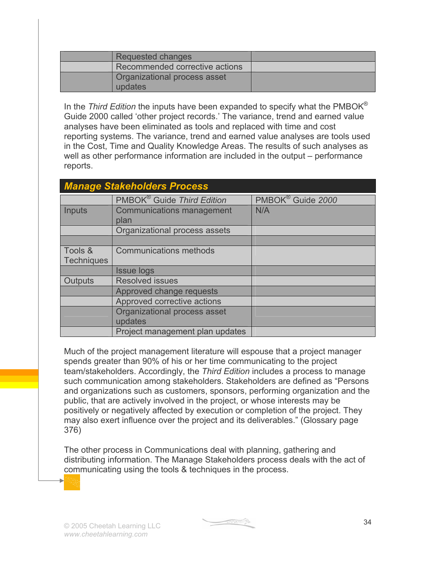| Requested changes                       |  |
|-----------------------------------------|--|
| Recommended corrective actions          |  |
| Organizational process asset<br>updates |  |

In the *Third Edition* the inputs have been expanded to specify what the PMBOK® Guide 2000 called 'other project records.' The variance, trend and earned value analyses have been eliminated as tools and replaced with time and cost reporting systems. The variance, trend and earned value analyses are tools used in the Cost, Time and Quality Knowledge Areas. The results of such analyses as well as other performance information are included in the output – performance reports.

| <b>Manage Stakeholders Process</b> |                                        |                               |
|------------------------------------|----------------------------------------|-------------------------------|
|                                    | PMBOK <sup>®</sup> Guide Third Edition | PMBOK <sup>®</sup> Guide 2000 |
| Inputs                             | Communications management<br>plan      | N/A                           |
|                                    | Organizational process assets          |                               |
|                                    |                                        |                               |
| Tools &                            | <b>Communications methods</b>          |                               |
| <b>Techniques</b>                  |                                        |                               |
|                                    | <b>Issue logs</b>                      |                               |
| Outputs                            | <b>Resolved issues</b>                 |                               |
|                                    | Approved change requests               |                               |
|                                    | Approved corrective actions            |                               |
|                                    | Organizational process asset           |                               |
|                                    | updates                                |                               |
|                                    | Project management plan updates        |                               |

Much of the project management literature will espouse that a project manager spends greater than 90% of his or her time communicating to the project team/stakeholders. Accordingly, the *Third Edition* includes a process to manage such communication among stakeholders. Stakeholders are defined as "Persons and organizations such as customers, sponsors, performing organization and the public, that are actively involved in the project, or whose interests may be positively or negatively affected by execution or completion of the project. They may also exert influence over the project and its deliverables." (Glossary page 376)

The other process in Communications deal with planning, gathering and distributing information. The Manage Stakeholders process deals with the act of communicating using the tools & techniques in the process.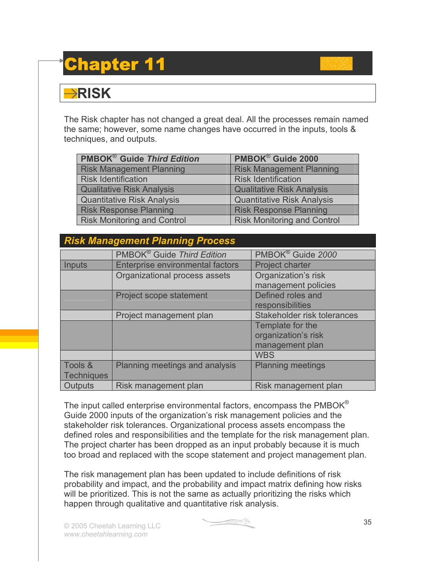## Chapter 11

#### **RISK**

The Risk chapter has not changed a great deal. All the processes remain named the same; however, some name changes have occurred in the inputs, tools & techniques, and outputs.

| <b>PMBOK<sup>®</sup> Guide Third Edition</b> | PMBOK <sup>®</sup> Guide 2000      |
|----------------------------------------------|------------------------------------|
| <b>Risk Management Planning</b>              | <b>Risk Management Planning</b>    |
| <b>Risk Identification</b>                   | <b>Risk Identification</b>         |
| <b>Qualitative Risk Analysis</b>             | <b>Qualitative Risk Analysis</b>   |
| <b>Quantitative Risk Analysis</b>            | <b>Quantitative Risk Analysis</b>  |
| <b>Risk Response Planning</b>                | <b>Risk Response Planning</b>      |
| <b>Risk Monitoring and Control</b>           | <b>Risk Monitoring and Control</b> |

#### *Risk Management Planning Process*

|                   | PMBOK <sup>®</sup> Guide Third Edition | PMBOK <sup>®</sup> Guide 2000 |
|-------------------|----------------------------------------|-------------------------------|
| Inputs            | Enterprise environmental factors       | <b>Project charter</b>        |
|                   | Organizational process assets          | Organization's risk           |
|                   |                                        | management policies           |
|                   | Project scope statement                | Defined roles and             |
|                   |                                        | responsibilities              |
|                   | Project management plan                | Stakeholder risk tolerances   |
|                   |                                        | Template for the              |
|                   |                                        | organization's risk           |
|                   |                                        | management plan               |
|                   |                                        | <b>WBS</b>                    |
| Tools &           | Planning meetings and analysis         | <b>Planning meetings</b>      |
| <b>Techniques</b> |                                        |                               |
| Outputs           | Risk management plan                   | Risk management plan          |

The input called enterprise environmental factors, encompass the PMBOK<sup>®</sup> Guide 2000 inputs of the organization's risk management policies and the stakeholder risk tolerances. Organizational process assets encompass the defined roles and responsibilities and the template for the risk management plan. The project charter has been dropped as an input probably because it is much too broad and replaced with the scope statement and project management plan.

The risk management plan has been updated to include definitions of risk probability and impact, and the probability and impact matrix defining how risks will be prioritized. This is not the same as actually prioritizing the risks which happen through qualitative and quantitative risk analysis.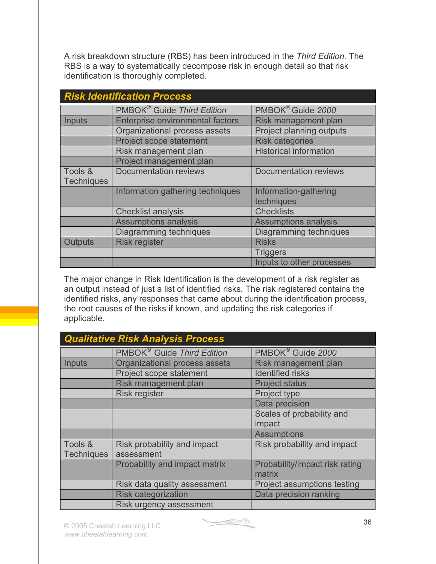A risk breakdown structure (RBS) has been introduced in the *Third Edition.* The RBS is a way to systematically decompose risk in enough detail so that risk identification is thoroughly completed.

| <b>Risk Identification Process</b> |                                         |                                 |
|------------------------------------|-----------------------------------------|---------------------------------|
|                                    | PMBOK <sup>®</sup> Guide Third Edition  | PMBOK <sup>®</sup> Guide 2000   |
| <b>Inputs</b>                      | <b>Enterprise environmental factors</b> | Risk management plan            |
|                                    | Organizational process assets           | <b>Project planning outputs</b> |
|                                    | Project scope statement                 | <b>Risk categories</b>          |
|                                    | Risk management plan                    | <b>Historical information</b>   |
|                                    | Project management plan                 |                                 |
| Tools &                            | <b>Documentation reviews</b>            | <b>Documentation reviews</b>    |
| <b>Techniques</b>                  |                                         |                                 |
|                                    | Information gathering techniques        | Information-gathering           |
|                                    |                                         | techniques                      |
|                                    | <b>Checklist analysis</b>               | <b>Checklists</b>               |
|                                    | <b>Assumptions analysis</b>             | <b>Assumptions analysis</b>     |
|                                    | Diagramming techniques                  | Diagramming techniques          |
| <b>Outputs</b>                     | <b>Risk register</b>                    | <b>Risks</b>                    |
|                                    |                                         | <b>Triggers</b>                 |
|                                    |                                         | Inputs to other processes       |

The major change in Risk Identification is the development of a risk register as an output instead of just a list of identified risks. The risk registered contains the identified risks, any responses that came about during the identification process, the root causes of the risks if known, and updating the risk categories if applicable.

|                   | <b>Qualitative Risk Analysis Process</b> |                                |
|-------------------|------------------------------------------|--------------------------------|
|                   | PMBOK <sup>®</sup> Guide Third Edition   | PMBOK <sup>®</sup> Guide 2000  |
| <b>Inputs</b>     | Organizational process assets            | Risk management plan           |
|                   | Project scope statement                  | <b>Identified risks</b>        |
|                   | Risk management plan                     | <b>Project status</b>          |
|                   | <b>Risk register</b>                     | Project type                   |
|                   |                                          | Data precision                 |
|                   |                                          | Scales of probability and      |
|                   |                                          | impact                         |
|                   |                                          | <b>Assumptions</b>             |
| Tools &           | Risk probability and impact              | Risk probability and impact    |
| <b>Techniques</b> | assessment                               |                                |
|                   | Probability and impact matrix            | Probability/impact risk rating |
|                   |                                          | matrix                         |
|                   | Risk data quality assessment             | Project assumptions testing    |
|                   | <b>Risk categorization</b>               | Data precision ranking         |
|                   | Risk urgency assessment                  |                                |

<u>e startin</u>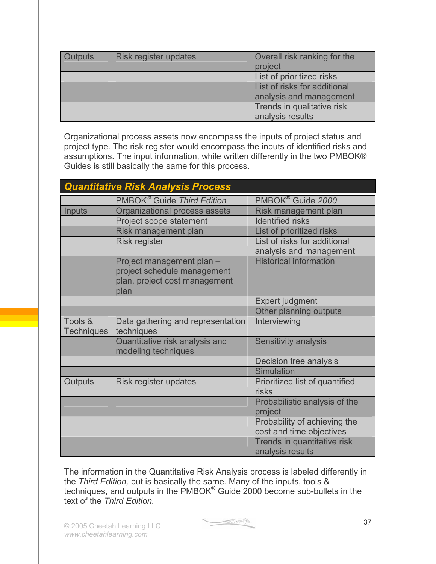| <b>Outputs</b> | Risk register updates | Overall risk ranking for the<br>project |
|----------------|-----------------------|-----------------------------------------|
|                |                       | List of prioritized risks               |
|                |                       | List of risks for additional            |
|                |                       | analysis and management                 |
|                |                       | Trends in qualitative risk              |
|                |                       | analysis results                        |

Organizational process assets now encompass the inputs of project status and project type. The risk register would encompass the inputs of identified risks and assumptions. The input information, while written differently in the two PMBOK® Guides is still basically the same for this process.

| <b>Quantitative Risk Analysis Process</b> |                                                                                                   |                                                          |
|-------------------------------------------|---------------------------------------------------------------------------------------------------|----------------------------------------------------------|
|                                           | PMBOK <sup>®</sup> Guide Third Edition                                                            | PMBOK <sup>®</sup> Guide 2000                            |
| Inputs                                    | Organizational process assets                                                                     | Risk management plan                                     |
|                                           | Project scope statement                                                                           | <b>Identified risks</b>                                  |
|                                           | Risk management plan                                                                              | List of prioritized risks                                |
|                                           | <b>Risk register</b>                                                                              | List of risks for additional                             |
|                                           |                                                                                                   | analysis and management                                  |
|                                           | Project management plan -<br>project schedule management<br>plan, project cost management<br>plan | <b>Historical information</b>                            |
|                                           |                                                                                                   | Expert judgment                                          |
|                                           |                                                                                                   | Other planning outputs                                   |
| Tools &<br><b>Techniques</b>              | Data gathering and representation<br>techniques                                                   | Interviewing                                             |
|                                           | Quantitative risk analysis and<br>modeling techniques                                             | Sensitivity analysis                                     |
|                                           |                                                                                                   | Decision tree analysis                                   |
|                                           |                                                                                                   | Simulation                                               |
| Outputs                                   | Risk register updates                                                                             | Prioritized list of quantified<br>risks                  |
|                                           |                                                                                                   | Probabilistic analysis of the<br>project                 |
|                                           |                                                                                                   | Probability of achieving the<br>cost and time objectives |
|                                           |                                                                                                   | Trends in quantitative risk<br>analysis results          |

The information in the Quantitative Risk Analysis process is labeled differently in the *Third Edition,* but is basically the same. Many of the inputs, tools & techniques, and outputs in the PMBOK® Guide 2000 become sub-bullets in the text of the *Third Edition.*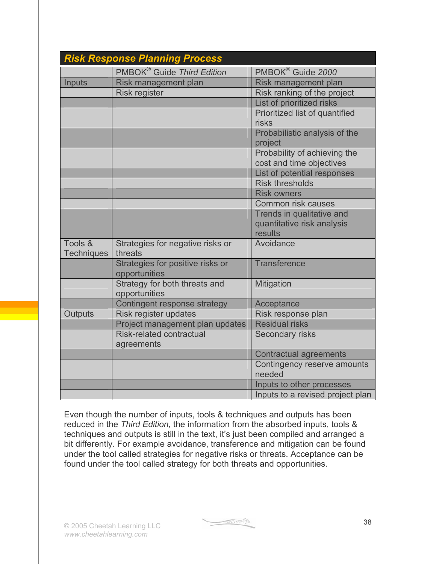|                              | <b>Risk Response Planning Process</b>             |                                                                    |
|------------------------------|---------------------------------------------------|--------------------------------------------------------------------|
|                              | PMBOK <sup>®</sup> Guide Third Edition            | PMBOK <sup>®</sup> Guide 2000                                      |
| Inputs                       | Risk management plan                              | Risk management plan                                               |
|                              | <b>Risk register</b>                              | Risk ranking of the project                                        |
|                              |                                                   | List of prioritized risks                                          |
|                              |                                                   | Prioritized list of quantified<br>risks                            |
|                              |                                                   | Probabilistic analysis of the<br>project                           |
|                              |                                                   | Probability of achieving the<br>cost and time objectives           |
|                              |                                                   | List of potential responses                                        |
|                              |                                                   | <b>Risk thresholds</b>                                             |
|                              |                                                   | <b>Risk owners</b>                                                 |
|                              |                                                   | <b>Common risk causes</b>                                          |
|                              |                                                   | Trends in qualitative and<br>quantitative risk analysis<br>results |
| Tools &<br><b>Techniques</b> | Strategies for negative risks or<br>threats       | Avoidance                                                          |
|                              | Strategies for positive risks or<br>opportunities | <b>Transference</b>                                                |
|                              | Strategy for both threats and<br>opportunities    | Mitigation                                                         |
|                              | Contingent response strategy                      | Acceptance                                                         |
| Outputs                      | Risk register updates                             | Risk response plan                                                 |
|                              | Project management plan updates                   | <b>Residual risks</b>                                              |
|                              | <b>Risk-related contractual</b><br>agreements     | Secondary risks                                                    |
|                              |                                                   | <b>Contractual agreements</b>                                      |
|                              |                                                   | Contingency reserve amounts<br>needed                              |
|                              |                                                   | Inputs to other processes                                          |
|                              |                                                   | Inputs to a revised project plan                                   |

Even though the number of inputs, tools & techniques and outputs has been reduced in the *Third Edition,* the information from the absorbed inputs, tools & techniques and outputs is still in the text, it's just been compiled and arranged a bit differently. For example avoidance, transference and mitigation can be found under the tool called strategies for negative risks or threats. Acceptance can be found under the tool called strategy for both threats and opportunities.

**Constitution**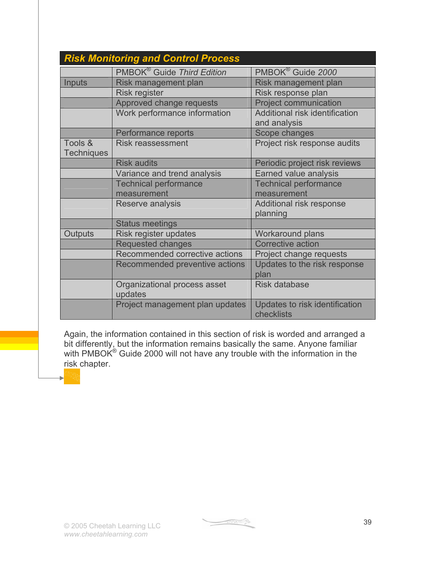|                   | <b>Risk Monitoring and Control Process</b> |                                              |
|-------------------|--------------------------------------------|----------------------------------------------|
|                   | PMBOK <sup>®</sup> Guide Third Edition     | PMBOK <sup>®</sup> Guide 2000                |
| <b>Inputs</b>     | Risk management plan                       | Risk management plan                         |
|                   | <b>Risk register</b>                       | Risk response plan                           |
|                   | Approved change requests                   | <b>Project communication</b>                 |
|                   | Work performance information               | Additional risk identification               |
|                   |                                            | and analysis                                 |
|                   | Performance reports                        | Scope changes                                |
| Tools &           | <b>Risk reassessment</b>                   | Project risk response audits                 |
| <b>Techniques</b> |                                            |                                              |
|                   | <b>Risk audits</b>                         | Periodic project risk reviews                |
|                   | Variance and trend analysis                | Earned value analysis                        |
|                   | <b>Technical performance</b>               | <b>Technical performance</b>                 |
|                   | measurement                                | measurement                                  |
|                   | Reserve analysis                           | Additional risk response                     |
|                   |                                            | planning                                     |
|                   | <b>Status meetings</b>                     |                                              |
| Outputs           | Risk register updates                      | <b>Workaround plans</b>                      |
|                   | <b>Requested changes</b>                   | <b>Corrective action</b>                     |
|                   | Recommended corrective actions             | Project change requests                      |
|                   | Recommended preventive actions             | Updates to the risk response                 |
|                   |                                            | plan                                         |
|                   | Organizational process asset<br>updates    | <b>Risk database</b>                         |
|                   | Project management plan updates            | Updates to risk identification<br>checklists |

Again, the information contained in this section of risk is worded and arranged a bit differently, but the information remains basically the same. Anyone familiar with PMBOK $^{\circ}$  Guide 2000 will not have any trouble with the information in the risk chapter.

I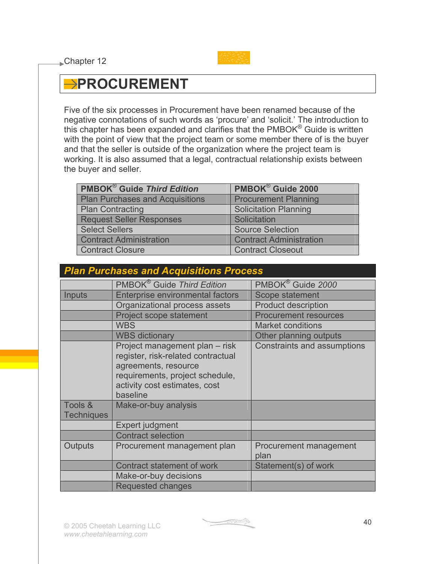

### **PROCUREMENT**

Five of the six processes in Procurement have been renamed because of the negative connotations of such words as 'procure' and 'solicit.' The introduction to this chapter has been expanded and clarifies that the PMBOK<sup>®</sup> Guide is written with the point of view that the project team or some member there of is the buyer and that the seller is outside of the organization where the project team is working. It is also assumed that a legal, contractual relationship exists between the buyer and seller.

| <b>PMBOK<sup>®</sup> Guide Third Edition</b> | PMBOK® Guide 2000              |
|----------------------------------------------|--------------------------------|
| <b>Plan Purchases and Acquisitions</b>       | <b>Procurement Planning</b>    |
| <b>Plan Contracting</b>                      | <b>Solicitation Planning</b>   |
| <b>Request Seller Responses</b>              | Solicitation                   |
| <b>Select Sellers</b>                        | <b>Source Selection</b>        |
| <b>Contract Administration</b>               | <b>Contract Administration</b> |
| <b>Contract Closure</b>                      | <b>Contract Closeout</b>       |

| <b>Plan Purchases and Acquisitions Process</b> |                                                                                                                                                                              |                                    |  |
|------------------------------------------------|------------------------------------------------------------------------------------------------------------------------------------------------------------------------------|------------------------------------|--|
|                                                | PMBOK <sup>®</sup> Guide Third Edition                                                                                                                                       | PMBOK <sup>®</sup> Guide 2000      |  |
| Inputs                                         | <b>Enterprise environmental factors</b>                                                                                                                                      | Scope statement                    |  |
|                                                | Organizational process assets                                                                                                                                                | <b>Product description</b>         |  |
|                                                | Project scope statement                                                                                                                                                      | <b>Procurement resources</b>       |  |
|                                                | <b>WBS</b>                                                                                                                                                                   | <b>Market conditions</b>           |  |
|                                                | <b>WBS dictionary</b>                                                                                                                                                        | Other planning outputs             |  |
|                                                | Project management plan - risk<br>register, risk-related contractual<br>agreements, resource<br>requirements, project schedule,<br>activity cost estimates, cost<br>baseline | <b>Constraints and assumptions</b> |  |
| Tools &<br><b>Techniques</b>                   | Make-or-buy analysis                                                                                                                                                         |                                    |  |
|                                                | Expert judgment                                                                                                                                                              |                                    |  |
|                                                | <b>Contract selection</b>                                                                                                                                                    |                                    |  |
| Outputs                                        | Procurement management plan                                                                                                                                                  | Procurement management<br>plan     |  |
|                                                | Contract statement of work                                                                                                                                                   | Statement(s) of work               |  |
|                                                | Make-or-buy decisions                                                                                                                                                        |                                    |  |
|                                                | Requested changes                                                                                                                                                            |                                    |  |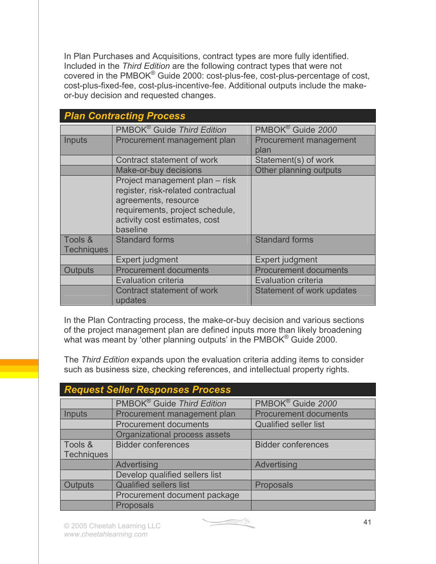In Plan Purchases and Acquisitions, contract types are more fully identified. Included in the *Third Edition* are the following contract types that were not covered in the PMBOK® Guide 2000: cost-plus-fee, cost-plus-percentage of cost, cost-plus-fixed-fee, cost-plus-incentive-fee. Additional outputs include the makeor-buy decision and requested changes.

|                              | <b>Plan Contracting Process</b>                                                                                                                                              |                                |
|------------------------------|------------------------------------------------------------------------------------------------------------------------------------------------------------------------------|--------------------------------|
|                              | PMBOK <sup>®</sup> Guide Third Edition                                                                                                                                       | PMBOK <sup>®</sup> Guide 2000  |
| Inputs                       | Procurement management plan                                                                                                                                                  | Procurement management<br>plan |
|                              | Contract statement of work                                                                                                                                                   | Statement(s) of work           |
|                              | Make-or-buy decisions                                                                                                                                                        | Other planning outputs         |
|                              | Project management plan - risk<br>register, risk-related contractual<br>agreements, resource<br>requirements, project schedule,<br>activity cost estimates, cost<br>baseline |                                |
| Tools &<br><b>Techniques</b> | <b>Standard forms</b>                                                                                                                                                        | <b>Standard forms</b>          |
|                              | Expert judgment                                                                                                                                                              | Expert judgment                |
| <b>Outputs</b>               | <b>Procurement documents</b>                                                                                                                                                 | <b>Procurement documents</b>   |
|                              | <b>Evaluation criteria</b>                                                                                                                                                   | <b>Evaluation criteria</b>     |
|                              | <b>Contract statement of work</b><br>updates                                                                                                                                 | Statement of work updates      |

In the Plan Contracting process, the make-or-buy decision and various sections of the project management plan are defined inputs more than likely broadening what was meant by 'other planning outputs' in the PMBOK<sup>®</sup> Guide 2000.

The *Third Edition* expands upon the evaluation criteria adding items to consider such as business size, checking references, and intellectual property rights.

|                   | <b>Request Seller Responses Process</b> |                               |
|-------------------|-----------------------------------------|-------------------------------|
|                   | PMBOK <sup>®</sup> Guide Third Edition  | PMBOK <sup>®</sup> Guide 2000 |
| Inputs            | Procurement management plan             | <b>Procurement documents</b>  |
|                   | <b>Procurement documents</b>            | <b>Qualified seller list</b>  |
|                   | Organizational process assets           |                               |
| Tools &           | <b>Bidder conferences</b>               | <b>Bidder conferences</b>     |
| <b>Techniques</b> |                                         |                               |
|                   | Advertising                             | Advertising                   |
|                   | Develop qualified sellers list          |                               |
| <b>Outputs</b>    | <b>Qualified sellers list</b>           | <b>Proposals</b>              |
|                   | Procurement document package            |                               |
|                   | <b>Proposals</b>                        |                               |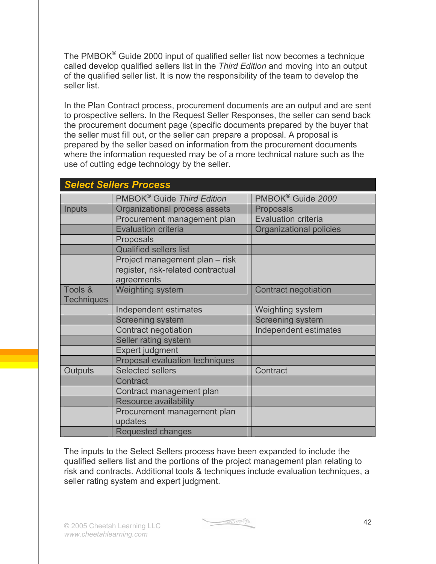The PMBOK® Guide 2000 input of qualified seller list now becomes a technique called develop qualified sellers list in the *Third Edition* and moving into an output of the qualified seller list. It is now the responsibility of the team to develop the seller list.

In the Plan Contract process, procurement documents are an output and are sent to prospective sellers. In the Request Seller Responses, the seller can send back the procurement document page (specific documents prepared by the buyer that the seller must fill out, or the seller can prepare a proposal. A proposal is prepared by the seller based on information from the procurement documents where the information requested may be of a more technical nature such as the use of cutting edge technology by the seller.

|                   | <b>Select Sellers Process</b>          |                               |
|-------------------|----------------------------------------|-------------------------------|
|                   | PMBOK <sup>®</sup> Guide Third Edition | PMBOK <sup>®</sup> Guide 2000 |
| Inputs            | Organizational process assets          | <b>Proposals</b>              |
|                   | Procurement management plan            | <b>Evaluation criteria</b>    |
|                   | <b>Evaluation criteria</b>             | Organizational policies       |
|                   | Proposals                              |                               |
|                   | <b>Qualified sellers list</b>          |                               |
|                   | Project management plan - risk         |                               |
|                   | register, risk-related contractual     |                               |
|                   | agreements                             |                               |
| Tools &           | <b>Weighting system</b>                | <b>Contract negotiation</b>   |
| <b>Techniques</b> |                                        |                               |
|                   | Independent estimates                  | Weighting system              |
|                   | <b>Screening system</b>                | <b>Screening system</b>       |
|                   | Contract negotiation                   | Independent estimates         |
|                   | Seller rating system                   |                               |
|                   | Expert judgment                        |                               |
|                   | <b>Proposal evaluation techniques</b>  |                               |
| Outputs           | <b>Selected sellers</b>                | Contract                      |
|                   | Contract                               |                               |
|                   | Contract management plan               |                               |
|                   | <b>Resource availability</b>           |                               |
|                   | Procurement management plan            |                               |
|                   | updates                                |                               |
|                   | <b>Requested changes</b>               |                               |

The inputs to the Select Sellers process have been expanded to include the qualified sellers list and the portions of the project management plan relating to risk and contracts. Additional tools & techniques include evaluation techniques, a seller rating system and expert judgment.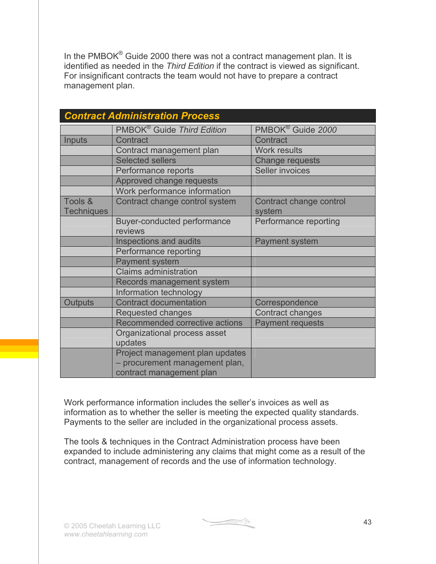In the PMBOK<sup>®</sup> Guide 2000 there was not a contract management plan. It is identified as needed in the *Third Edition* if the contract is viewed as significant. For insignificant contracts the team would not have to prepare a contract management plan.

|                   | <b>Contract Administration Process</b>                                                        |                               |
|-------------------|-----------------------------------------------------------------------------------------------|-------------------------------|
|                   | PMBOK <sup>®</sup> Guide Third Edition                                                        | PMBOK <sup>®</sup> Guide 2000 |
| Inputs            | Contract                                                                                      | Contract                      |
|                   | Contract management plan                                                                      | <b>Work results</b>           |
|                   | <b>Selected sellers</b>                                                                       | <b>Change requests</b>        |
|                   | Performance reports                                                                           | <b>Seller invoices</b>        |
|                   | Approved change requests                                                                      |                               |
|                   | Work performance information                                                                  |                               |
| Tools &           | Contract change control system                                                                | Contract change control       |
| <b>Techniques</b> |                                                                                               | system                        |
|                   | Buyer-conducted performance<br>reviews                                                        | Performance reporting         |
|                   | Inspections and audits                                                                        | <b>Payment system</b>         |
|                   | Performance reporting                                                                         |                               |
|                   | <b>Payment system</b>                                                                         |                               |
|                   | <b>Claims administration</b>                                                                  |                               |
|                   | Records management system                                                                     |                               |
|                   | Information technology                                                                        |                               |
| <b>Outputs</b>    | <b>Contract documentation</b>                                                                 | Correspondence                |
|                   | Requested changes                                                                             | <b>Contract changes</b>       |
|                   | Recommended corrective actions                                                                | <b>Payment requests</b>       |
|                   | Organizational process asset<br>updates                                                       |                               |
|                   | Project management plan updates<br>- procurement management plan,<br>contract management plan |                               |

Work performance information includes the seller's invoices as well as information as to whether the seller is meeting the expected quality standards. Payments to the seller are included in the organizational process assets.

The tools & techniques in the Contract Administration process have been expanded to include administering any claims that might come as a result of the contract, management of records and the use of information technology.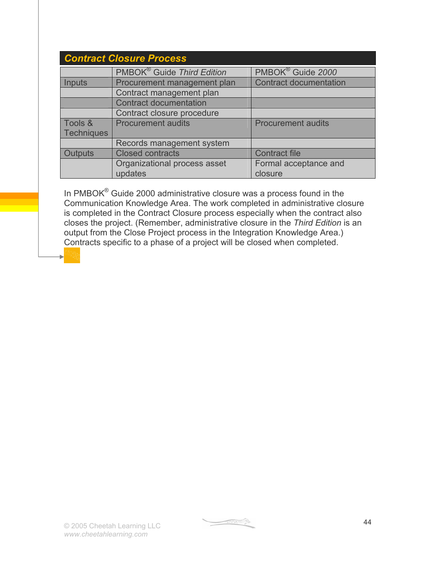| <b>Contract Closure Process</b> |                                        |                               |
|---------------------------------|----------------------------------------|-------------------------------|
|                                 | PMBOK <sup>®</sup> Guide Third Edition | PMBOK <sup>®</sup> Guide 2000 |
| <b>Inputs</b>                   | Procurement management plan            | <b>Contract documentation</b> |
|                                 | Contract management plan               |                               |
|                                 | <b>Contract documentation</b>          |                               |
|                                 | Contract closure procedure             |                               |
| Tools &                         | <b>Procurement audits</b>              | <b>Procurement audits</b>     |
| <b>Techniques</b>               |                                        |                               |
|                                 | Records management system              |                               |
| Outputs                         | <b>Closed contracts</b>                | <b>Contract file</b>          |
|                                 | Organizational process asset           | Formal acceptance and         |
|                                 | updates                                | closure                       |

In PMBOK® Guide 2000 administrative closure was a process found in the Communication Knowledge Area. The work completed in administrative closure is completed in the Contract Closure process especially when the contract also closes the project. (Remember, administrative closure in the *Third Edition* is an output from the Close Project process in the Integration Knowledge Area.) Contracts specific to a phase of a project will be closed when completed.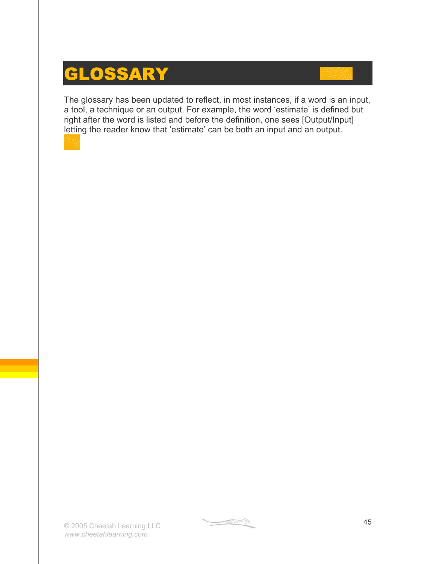### **GLOSSARY**

The glossary has been updated to reflect, in most instances, if a word is an input, a tool, a technique or an output. For example, the word 'estimate' is defined but right after the word is listed and before the definition, one sees [Output/Input] letting the reader know that 'estimate' can be both an input and an output.

 $\begin{picture}(20,20) \put(0,0){\line(1,0){10}} \put(15,0){\line(1,0){10}} \put(15,0){\line(1,0){10}} \put(15,0){\line(1,0){10}} \put(15,0){\line(1,0){10}} \put(15,0){\line(1,0){10}} \put(15,0){\line(1,0){10}} \put(15,0){\line(1,0){10}} \put(15,0){\line(1,0){10}} \put(15,0){\line(1,0){10}} \put(15,0){\line(1,0){10}} \put(15,0){\line(1$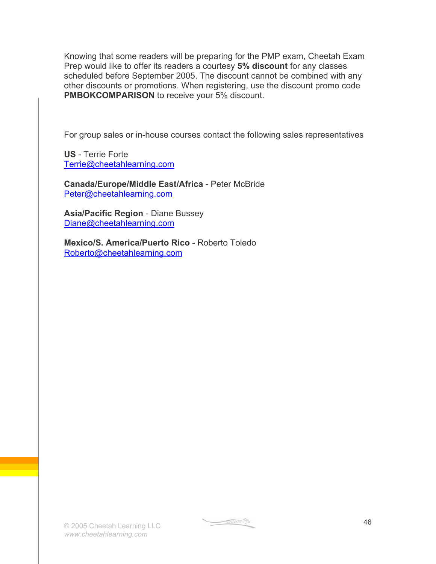Knowing that some readers will be preparing for the PMP exam, Cheetah Exam Prep would like to offer its readers a courtesy **5% discount** for any classes scheduled before September 2005. The discount cannot be combined with any other discounts or promotions. When registering, use the discount promo code **PMBOKCOMPARISON** to receive your 5% discount.

For group sales or in-house courses contact the following sales representatives

**US** - Terrie Forte Terrie@cheetahlearning.com

**Canada/Europe/Middle East/Africa** - Peter McBride Peter@cheetahlearning.com

**Asia/Pacific Region** - Diane Bussey Diane@cheetahlearning.com

**Mexico/S. America/Puerto Rico** - Roberto Toledo Roberto@cheetahlearning.com

 $\begin{picture}(20,10) \put(0,0){\line(1,0){10}} \put(10,0){\line(1,0){10}} \put(10,0){\line(1,0){10}} \put(10,0){\line(1,0){10}} \put(10,0){\line(1,0){10}} \put(10,0){\line(1,0){10}} \put(10,0){\line(1,0){10}} \put(10,0){\line(1,0){10}} \put(10,0){\line(1,0){10}} \put(10,0){\line(1,0){10}} \put(10,0){\line(1,0){10}} \put(10,0){\line(1$